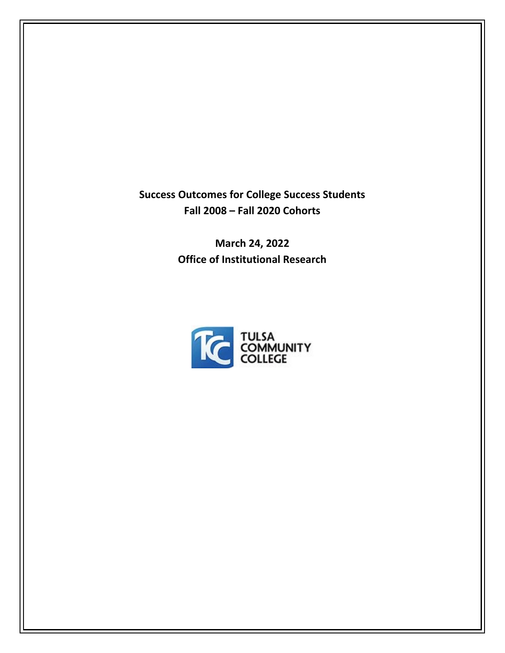**Success Outcomes for College Success Students Fall 2008 – Fall 2020 Cohorts**

> **March 24, 2022 Office of Institutional Research**

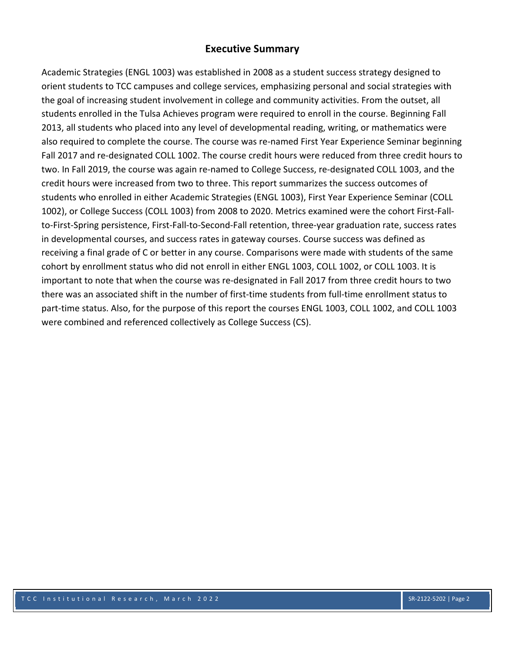# **Executive Summary**

Academic Strategies (ENGL 1003) was established in 2008 as a student success strategy designed to orient students to TCC campuses and college services, emphasizing personal and social strategies with the goal of increasing student involvement in college and community activities. From the outset, all students enrolled in the Tulsa Achieves program were required to enroll in the course. Beginning Fall 2013, all students who placed into any level of developmental reading, writing, or mathematics were also required to complete the course. The course was re‐named First Year Experience Seminar beginning Fall 2017 and re-designated COLL 1002. The course credit hours were reduced from three credit hours to two. In Fall 2019, the course was again re‐named to College Success, re‐designated COLL 1003, and the credit hours were increased from two to three. This report summarizes the success outcomes of students who enrolled in either Academic Strategies (ENGL 1003), First Year Experience Seminar (COLL 1002), or College Success (COLL 1003) from 2008 to 2020. Metrics examined were the cohort First‐Fall‐ to-First-Spring persistence, First-Fall-to-Second-Fall retention, three-year graduation rate, success rates in developmental courses, and success rates in gateway courses. Course success was defined as receiving a final grade of C or better in any course. Comparisons were made with students of the same cohort by enrollment status who did not enroll in either ENGL 1003, COLL 1002, or COLL 1003. It is important to note that when the course was re-designated in Fall 2017 from three credit hours to two there was an associated shift in the number of first-time students from full-time enrollment status to part-time status. Also, for the purpose of this report the courses ENGL 1003, COLL 1002, and COLL 1003 were combined and referenced collectively as College Success (CS).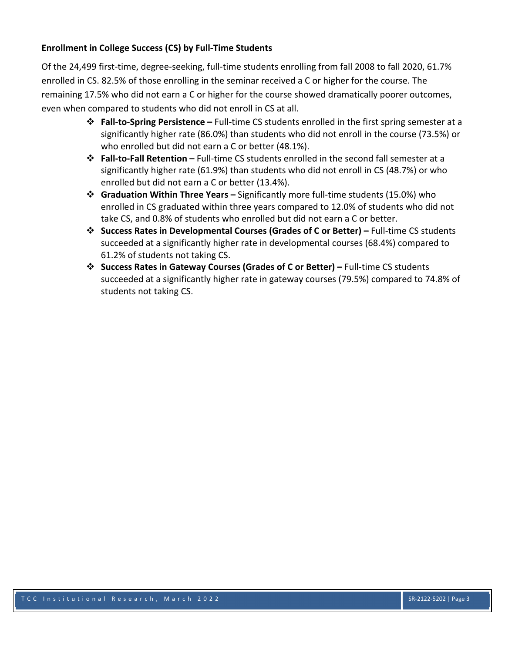## **Enrollment in College Success (CS) by Full‐Time Students**

Of the 24,499 first‐time, degree‐seeking, full‐time students enrolling from fall 2008 to fall 2020, 61.7% enrolled in CS. 82.5% of those enrolling in the seminar received a C or higher for the course. The remaining 17.5% who did not earn a C or higher for the course showed dramatically poorer outcomes, even when compared to students who did not enroll in CS at all.

- **Fall‐to‐Spring Persistence –** Full‐time CS students enrolled in the first spring semester at a significantly higher rate (86.0%) than students who did not enroll in the course (73.5%) or who enrolled but did not earn a C or better (48.1%).
- **Fall‐to‐Fall Retention –** Full‐time CS students enrolled in the second fall semester at a significantly higher rate (61.9%) than students who did not enroll in CS (48.7%) or who enrolled but did not earn a C or better (13.4%).
- **Graduation Within Three Years –** Significantly more full‐time students (15.0%) who enrolled in CS graduated within three years compared to 12.0% of students who did not take CS, and 0.8% of students who enrolled but did not earn a C or better.
- **Success Rates in Developmental Courses (Grades of C or Better) –** Full‐time CS students succeeded at a significantly higher rate in developmental courses (68.4%) compared to 61.2% of students not taking CS.
- **Success Rates in Gateway Courses (Grades of C or Better) –** Full‐time CS students succeeded at a significantly higher rate in gateway courses (79.5%) compared to 74.8% of students not taking CS.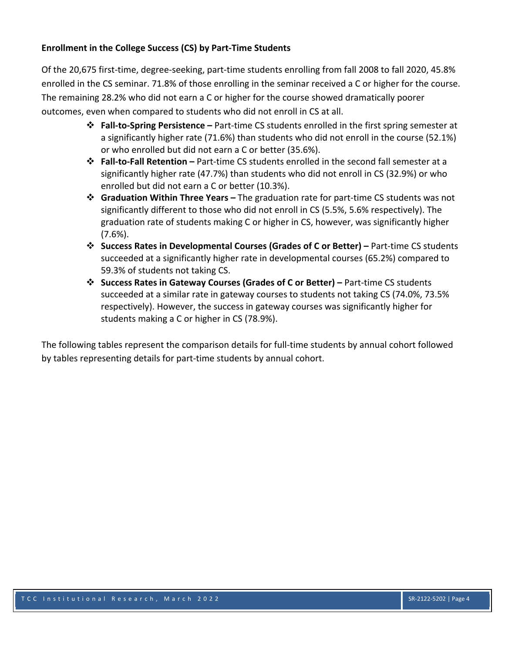# **Enrollment in the College Success (CS) by Part‐Time Students**

Of the 20,675 first‐time, degree‐seeking, part‐time students enrolling from fall 2008 to fall 2020, 45.8% enrolled in the CS seminar. 71.8% of those enrolling in the seminar received a C or higher for the course. The remaining 28.2% who did not earn a C or higher for the course showed dramatically poorer outcomes, even when compared to students who did not enroll in CS at all.

- **Fall‐to‐Spring Persistence –** Part‐time CS students enrolled in the first spring semester at a significantly higher rate (71.6%) than students who did not enroll in the course (52.1%) or who enrolled but did not earn a C or better (35.6%).
- **Fall‐to‐Fall Retention –** Part‐time CS students enrolled in the second fall semester at a significantly higher rate (47.7%) than students who did not enroll in CS (32.9%) or who enrolled but did not earn a C or better (10.3%).
- **Graduation Within Three Years –** The graduation rate for part‐time CS students was not significantly different to those who did not enroll in CS (5.5%, 5.6% respectively). The graduation rate of students making C or higher in CS, however, was significantly higher (7.6%).
- **Success Rates in Developmental Courses (Grades of C or Better) –** Part‐time CS students succeeded at a significantly higher rate in developmental courses (65.2%) compared to 59.3% of students not taking CS.
- **Success Rates in Gateway Courses (Grades of C or Better) –** Part‐time CS students succeeded at a similar rate in gateway courses to students not taking CS (74.0%, 73.5% respectively). However, the success in gateway courses was significantly higher for students making a C or higher in CS (78.9%).

The following tables represent the comparison details for full‐time students by annual cohort followed by tables representing details for part-time students by annual cohort.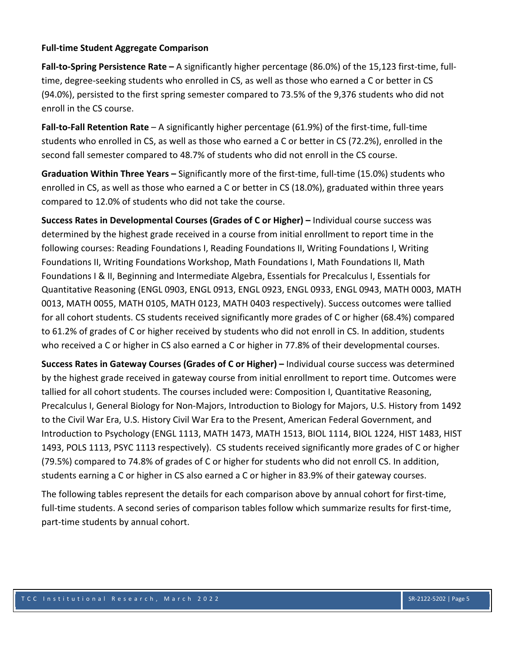#### **Full‐time Student Aggregate Comparison**

**Fall‐to‐Spring Persistence Rate –** A significantly higher percentage (86.0%) of the 15,123 first‐time, full‐ time, degree-seeking students who enrolled in CS, as well as those who earned a C or better in CS (94.0%), persisted to the first spring semester compared to 73.5% of the 9,376 students who did not enroll in the CS course.

**Fall‐to‐Fall Retention Rate** – A significantly higher percentage (61.9%) of the first‐time, full‐time students who enrolled in CS, as well as those who earned a C or better in CS (72.2%), enrolled in the second fall semester compared to 48.7% of students who did not enroll in the CS course.

**Graduation Within Three Years –** Significantly more of the first‐time, full‐time (15.0%) students who enrolled in CS, as well as those who earned a C or better in CS (18.0%), graduated within three years compared to 12.0% of students who did not take the course.

**Success Rates in Developmental Courses (Grades of C or Higher) –** Individual course success was determined by the highest grade received in a course from initial enrollment to report time in the following courses: Reading Foundations I, Reading Foundations II, Writing Foundations I, Writing Foundations II, Writing Foundations Workshop, Math Foundations I, Math Foundations II, Math Foundations I & II, Beginning and Intermediate Algebra, Essentials for Precalculus I, Essentials for Quantitative Reasoning (ENGL 0903, ENGL 0913, ENGL 0923, ENGL 0933, ENGL 0943, MATH 0003, MATH 0013, MATH 0055, MATH 0105, MATH 0123, MATH 0403 respectively). Success outcomes were tallied for all cohort students. CS students received significantly more grades of C or higher (68.4%) compared to 61.2% of grades of C or higher received by students who did not enroll in CS. In addition, students who received a C or higher in CS also earned a C or higher in 77.8% of their developmental courses.

**Success Rates in Gateway Courses (Grades of C or Higher) –** Individual course success was determined by the highest grade received in gateway course from initial enrollment to report time. Outcomes were tallied for all cohort students. The courses included were: Composition I, Quantitative Reasoning, Precalculus I, General Biology for Non‐Majors, Introduction to Biology for Majors, U.S. History from 1492 to the Civil War Era, U.S. History Civil War Era to the Present, American Federal Government, and Introduction to Psychology (ENGL 1113, MATH 1473, MATH 1513, BIOL 1114, BIOL 1224, HIST 1483, HIST 1493, POLS 1113, PSYC 1113 respectively). CS students received significantly more grades of C or higher (79.5%) compared to 74.8% of grades of C or higher for students who did not enroll CS. In addition, students earning a C or higher in CS also earned a C or higher in 83.9% of their gateway courses.

The following tables represent the details for each comparison above by annual cohort for first-time, full-time students. A second series of comparison tables follow which summarize results for first-time, part-time students by annual cohort.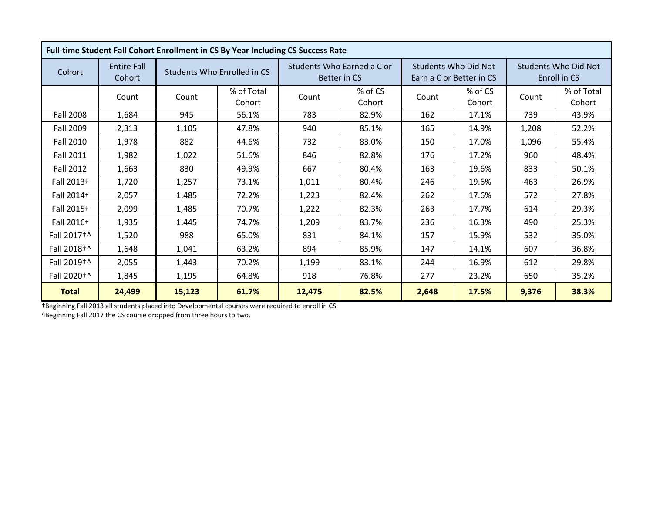|                         | Full-time Student Fall Cohort Enrollment in CS By Year Including CS Success Rate |        |                             |       |                                            |       |                                                         |                                             |                      |  |
|-------------------------|----------------------------------------------------------------------------------|--------|-----------------------------|-------|--------------------------------------------|-------|---------------------------------------------------------|---------------------------------------------|----------------------|--|
| Cohort                  | <b>Entire Fall</b><br>Cohort                                                     |        | Students Who Enrolled in CS |       | Students Who Earned a C or<br>Better in CS |       | <b>Students Who Did Not</b><br>Earn a C or Better in CS | <b>Students Who Did Not</b><br>Enroll in CS |                      |  |
|                         | Count                                                                            | Count  | % of Total<br>Cohort        | Count | % of CS<br>Cohort                          | Count | % of CS<br>Cohort                                       | Count                                       | % of Total<br>Cohort |  |
| <b>Fall 2008</b>        | 1,684                                                                            | 945    | 56.1%                       | 783   | 82.9%                                      | 162   | 17.1%                                                   | 739                                         | 43.9%                |  |
| Fall 2009               | 2,313                                                                            | 1,105  | 47.8%                       | 940   | 85.1%                                      | 165   | 14.9%                                                   | 1,208                                       | 52.2%                |  |
| <b>Fall 2010</b>        | 1,978                                                                            | 882    | 44.6%                       | 732   | 83.0%                                      | 150   | 17.0%                                                   | 1,096                                       | 55.4%                |  |
| <b>Fall 2011</b>        | 1,982                                                                            | 1,022  | 51.6%                       | 846   | 82.8%                                      | 176   | 17.2%                                                   | 960                                         | 48.4%                |  |
| <b>Fall 2012</b>        | 1,663                                                                            | 830    | 49.9%                       | 667   | 80.4%                                      | 163   | 19.6%                                                   | 833                                         | 50.1%                |  |
| Fall 2013+              | 1,720                                                                            | 1,257  | 73.1%                       | 1,011 | 80.4%                                      | 246   | 19.6%                                                   | 463                                         | 26.9%                |  |
| Fall 2014+              | 2,057                                                                            | 1,485  | 72.2%                       | 1,223 | 82.4%                                      | 262   | 17.6%                                                   | 572                                         | 27.8%                |  |
| Fall 2015+              | 2,099                                                                            | 1,485  | 70.7%                       | 1,222 | 82.3%                                      | 263   | 17.7%                                                   | 614                                         | 29.3%                |  |
| Fall 2016+              | 1,935                                                                            | 1,445  | 74.7%                       | 1,209 | 83.7%                                      | 236   | 16.3%                                                   | 490                                         | 25.3%                |  |
| Fall 2017 <sup>+^</sup> | 1,520                                                                            | 988    | 65.0%                       | 831   | 84.1%                                      | 157   | 15.9%                                                   | 532                                         | 35.0%                |  |
| Fall 2018 <sup>+^</sup> | 1,648                                                                            | 1,041  | 63.2%                       | 894   | 85.9%                                      | 147   | 14.1%                                                   | 607                                         | 36.8%                |  |
| Fall 2019 <sup>+^</sup> | 2,055                                                                            | 1,443  | 70.2%                       | 1,199 | 83.1%                                      | 244   | 16.9%                                                   | 612                                         | 29.8%                |  |
| Fall 2020 <sup>+</sup>  | 1,845                                                                            | 1,195  | 64.8%                       | 918   | 76.8%                                      | 277   | 23.2%                                                   | 650                                         | 35.2%                |  |
| <b>Total</b>            | 24,499                                                                           | 15,123 | 61.7%<br>12,475<br>82.5%    |       |                                            | 2,648 | 17.5%                                                   | 9,376                                       | 38.3%                |  |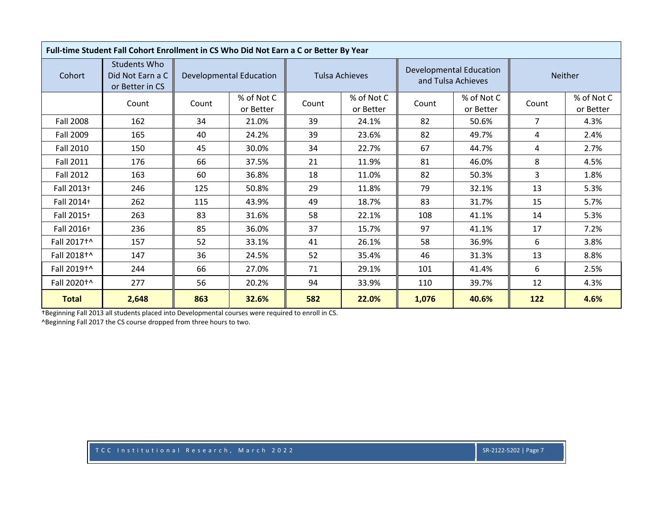| Full-time Student Fall Cohort Enrollment in CS Who Did Not Earn a C or Better By Year |                                                            |       |                                |       |                         |       |                                                      |                |                         |  |
|---------------------------------------------------------------------------------------|------------------------------------------------------------|-------|--------------------------------|-------|-------------------------|-------|------------------------------------------------------|----------------|-------------------------|--|
| Cohort                                                                                | <b>Students Who</b><br>Did Not Earn a C<br>or Better in CS |       | <b>Developmental Education</b> |       | <b>Tulsa Achieves</b>   |       | <b>Developmental Education</b><br>and Tulsa Achieves | Neither        |                         |  |
|                                                                                       | Count                                                      | Count | % of Not C<br>or Better        | Count | % of Not C<br>or Better | Count | % of Not C<br>or Better                              | Count          | % of Not C<br>or Better |  |
| Fall 2008                                                                             | 162                                                        | 34    | 21.0%                          | 39    | 24.1%                   | 82    | 50.6%                                                | $\overline{7}$ | 4.3%                    |  |
| Fall 2009                                                                             | 165                                                        | 40    | 24.2%                          | 39    | 23.6%                   | 82    | 49.7%                                                | 4              | 2.4%                    |  |
| Fall 2010                                                                             | 150                                                        | 45    | 30.0%                          | 34    | 22.7%                   | 67    | 44.7%                                                | 4              | 2.7%                    |  |
| <b>Fall 2011</b>                                                                      | 176                                                        | 66    | 37.5%                          | 21    | 11.9%                   | 81    | 46.0%                                                | 8              | 4.5%                    |  |
| Fall 2012                                                                             | 163                                                        | 60    | 36.8%                          | 18    | 11.0%                   | 82    | 50.3%                                                | 3              | 1.8%                    |  |
| Fall 2013+                                                                            | 246                                                        | 125   | 50.8%                          | 29    | 11.8%                   | 79    | 32.1%                                                | 13             | 5.3%                    |  |
| Fall 2014+                                                                            | 262                                                        | 115   | 43.9%                          | 49    | 18.7%                   | 83    | 31.7%                                                | 15             | 5.7%                    |  |
| Fall 2015+                                                                            | 263                                                        | 83    | 31.6%                          | 58    | 22.1%                   | 108   | 41.1%                                                | 14             | 5.3%                    |  |
| Fall 2016+                                                                            | 236                                                        | 85    | 36.0%                          | 37    | 15.7%                   | 97    | 41.1%                                                | 17             | 7.2%                    |  |
| Fall 2017 <sup>+^</sup>                                                               | 157                                                        | 52    | 33.1%                          | 41    | 26.1%                   | 58    | 36.9%                                                | 6              | 3.8%                    |  |
| Fall 2018+^                                                                           | 147                                                        | 36    | 24.5%                          | 52    | 35.4%                   | 46    | 31.3%                                                | 13             | 8.8%                    |  |
| Fall 2019 <sup>+</sup>                                                                | 244                                                        | 66    | 27.0%                          | 71    | 29.1%                   | 101   | 41.4%                                                | 6              | 2.5%                    |  |
| Fall 2020 <sup>+</sup>                                                                | 277                                                        | 56    | 20.2%                          | 94    | 33.9%                   | 110   | 39.7%                                                | 12             | 4.3%                    |  |
| <b>Total</b>                                                                          | 2,648                                                      | 863   | 32.6%                          | 582   | 22.0%                   | 1,076 | 40.6%                                                | 122            | 4.6%                    |  |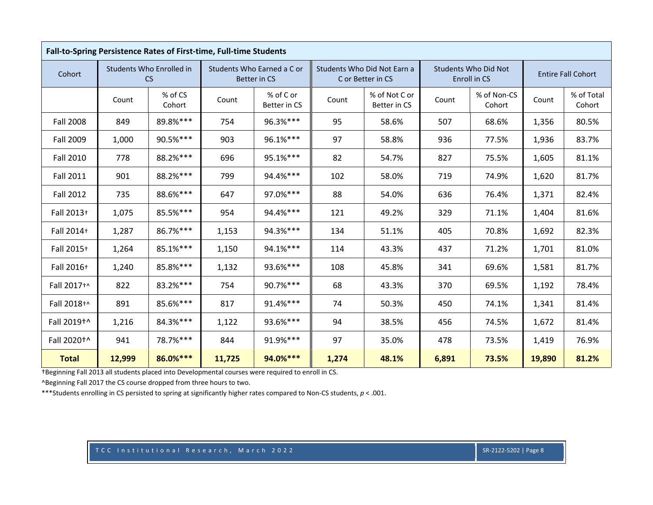|                  | Fall-to-Spring Persistence Rates of First-time, Full-time Students |                                       |        |                                            |       |                                                  |       |                                             |        |                           |  |
|------------------|--------------------------------------------------------------------|---------------------------------------|--------|--------------------------------------------|-------|--------------------------------------------------|-------|---------------------------------------------|--------|---------------------------|--|
| Cohort           |                                                                    | Students Who Enrolled in<br><b>CS</b> |        | Students Who Earned a C or<br>Better in CS |       | Students Who Did Not Earn a<br>C or Better in CS |       | <b>Students Who Did Not</b><br>Enroll in CS |        | <b>Entire Fall Cohort</b> |  |
|                  | Count                                                              | % of CS<br>Cohort                     | Count  | % of C or<br>Better in CS                  | Count | % of Not C or<br>Better in CS                    | Count | % of Non-CS<br>Cohort                       | Count  | % of Total<br>Cohort      |  |
| <b>Fall 2008</b> | 849                                                                | 89.8%***                              | 754    | 96.3%***                                   | 95    | 58.6%                                            | 507   | 68.6%                                       | 1,356  | 80.5%                     |  |
| <b>Fall 2009</b> | 1,000                                                              | 90.5%***                              | 903    | 96.1%***                                   | 97    | 58.8%                                            | 936   | 77.5%                                       | 1,936  | 83.7%                     |  |
| <b>Fall 2010</b> | 778                                                                | 88.2%***                              | 696    | 95.1%***                                   | 82    | 54.7%                                            | 827   | 75.5%                                       | 1,605  | 81.1%                     |  |
| <b>Fall 2011</b> | 901                                                                | 88.2%***                              | 799    | 94.4%***                                   | 102   | 58.0%                                            | 719   | 74.9%                                       | 1,620  | 81.7%                     |  |
| <b>Fall 2012</b> | 735                                                                | 88.6%***                              | 647    | 97.0%***                                   | 88    | 54.0%                                            | 636   | 76.4%                                       | 1,371  | 82.4%                     |  |
| Fall 2013+       | 1,075                                                              | 85.5%***                              | 954    | 94.4%***                                   | 121   | 49.2%                                            | 329   | 71.1%                                       | 1,404  | 81.6%                     |  |
| Fall 2014+       | 1,287                                                              | 86.7%***                              | 1,153  | 94.3%***                                   | 134   | 51.1%                                            | 405   | 70.8%                                       | 1,692  | 82.3%                     |  |
| Fall 2015+       | 1,264                                                              | 85.1%***                              | 1,150  | 94.1%***                                   | 114   | 43.3%                                            | 437   | 71.2%                                       | 1,701  | 81.0%                     |  |
| Fall 2016+       | 1,240                                                              | 85.8%***                              | 1,132  | 93.6%***                                   | 108   | 45.8%                                            | 341   | 69.6%                                       | 1,581  | 81.7%                     |  |
| Fall 2017+^      | 822                                                                | 83.2%***                              | 754    | 90.7%***                                   | 68    | 43.3%                                            | 370   | 69.5%                                       | 1,192  | 78.4%                     |  |
| Fall 2018+^      | 891                                                                | 85.6%***                              | 817    | 91.4%***                                   | 74    | 50.3%                                            | 450   | 74.1%                                       | 1,341  | 81.4%                     |  |
| Fall 2019+^      | 1,216                                                              | 84.3%***                              | 1,122  | 93.6%***                                   | 94    | 38.5%                                            | 456   | 74.5%                                       | 1,672  | 81.4%                     |  |
| Fall 2020+^      | 941                                                                | 78.7%***                              | 844    | 91.9%***                                   | 97    | 35.0%                                            | 478   | 73.5%                                       | 1,419  | 76.9%                     |  |
| <b>Total</b>     | 12,999                                                             | 86.0%***                              | 11,725 | 94.0%***                                   | 1,274 | 48.1%                                            | 6,891 | 73.5%                                       | 19,890 | 81.2%                     |  |

^Beginning Fall 2017 the CS course dropped from three hours to two.

\*\*\*Students enrolling in CS persisted to spring at significantly higher rates compared to Non‐CS students, *p* <sup>&</sup>lt; .001.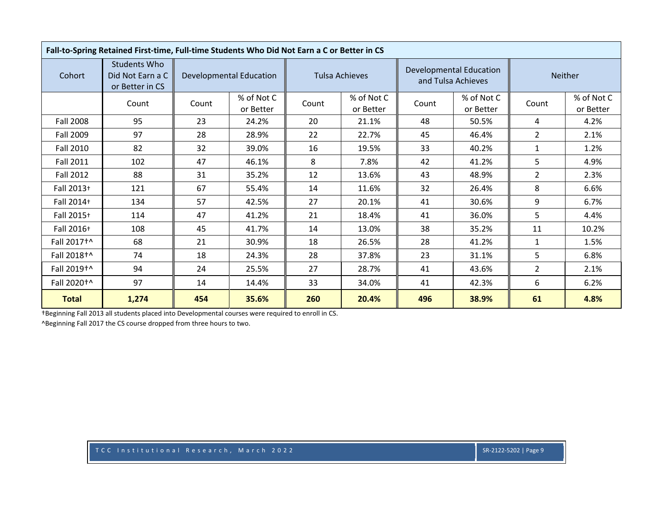| Fall-to-Spring Retained First-time, Full-time Students Who Did Not Earn a C or Better in CS |                                                     |       |                                |       |                         |       |                                                      |                |                         |  |
|---------------------------------------------------------------------------------------------|-----------------------------------------------------|-------|--------------------------------|-------|-------------------------|-------|------------------------------------------------------|----------------|-------------------------|--|
| Cohort                                                                                      | Students Who<br>Did Not Earn a C<br>or Better in CS |       | <b>Developmental Education</b> |       | Tulsa Achieves          |       | <b>Developmental Education</b><br>and Tulsa Achieves | Neither        |                         |  |
|                                                                                             | Count                                               | Count | % of Not C<br>or Better        | Count | % of Not C<br>or Better | Count | % of Not C<br>or Better                              | Count          | % of Not C<br>or Better |  |
| <b>Fall 2008</b>                                                                            | 95                                                  | 23    | 24.2%                          | 20    | 21.1%                   | 48    | 50.5%                                                | 4              | 4.2%                    |  |
| Fall 2009                                                                                   | 97                                                  | 28    | 28.9%                          | 22    | 22.7%                   | 45    | 46.4%                                                | $\overline{2}$ | 2.1%                    |  |
| Fall 2010                                                                                   | 82                                                  | 32    | 39.0%                          | 16    | 19.5%                   | 33    | 40.2%                                                | $\mathbf{1}$   | 1.2%                    |  |
| <b>Fall 2011</b>                                                                            | 102                                                 | 47    | 46.1%                          | 8     | 7.8%                    | 42    | 41.2%                                                | 5              | 4.9%                    |  |
| Fall 2012                                                                                   | 88                                                  | 31    | 35.2%                          | 12    | 13.6%                   | 43    | 48.9%                                                | $\overline{2}$ | 2.3%                    |  |
| Fall 2013+                                                                                  | 121                                                 | 67    | 55.4%                          | 14    | 11.6%                   | 32    | 26.4%                                                | 8              | 6.6%                    |  |
| Fall 2014+                                                                                  | 134                                                 | 57    | 42.5%                          | 27    | 20.1%                   | 41    | 30.6%                                                | 9              | 6.7%                    |  |
| Fall 2015+                                                                                  | 114                                                 | 47    | 41.2%                          | 21    | 18.4%                   | 41    | 36.0%                                                | 5              | 4.4%                    |  |
| Fall 2016+                                                                                  | 108                                                 | 45    | 41.7%                          | 14    | 13.0%                   | 38    | 35.2%                                                | 11             | 10.2%                   |  |
| Fall 2017 <sup>+^</sup>                                                                     | 68                                                  | 21    | 30.9%                          | 18    | 26.5%                   | 28    | 41.2%                                                | $\mathbf{1}$   | 1.5%                    |  |
| Fall 2018 <sup>+^</sup>                                                                     | 74                                                  | 18    | 24.3%                          | 28    | 37.8%                   | 23    | 31.1%                                                | 5              | 6.8%                    |  |
| Fall 2019 <sup>+</sup>                                                                      | 94                                                  | 24    | 25.5%                          | 27    | 28.7%                   | 41    | 43.6%                                                | $\overline{2}$ | 2.1%                    |  |
| Fall 2020 <sup>+</sup>                                                                      | 97                                                  | 14    | 14.4%                          | 33    | 34.0%                   | 41    | 42.3%                                                | 6              | 6.2%                    |  |
| <b>Total</b>                                                                                | 1,274                                               | 454   | 35.6%                          | 260   | 20.4%                   | 496   | 38.9%                                                | 61             | 4.8%                    |  |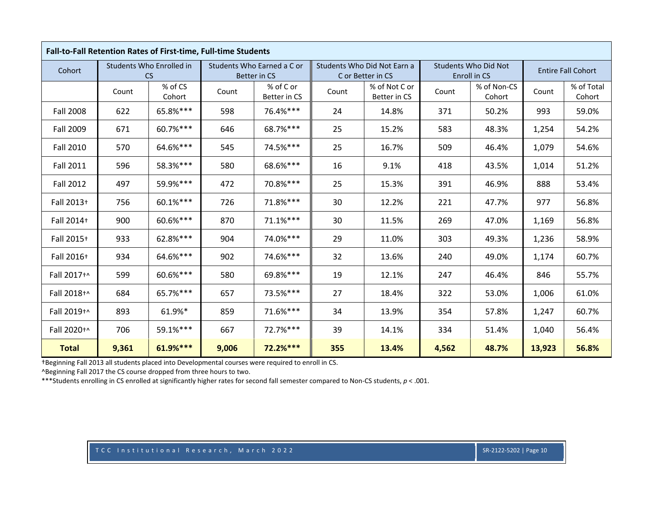|                  | Fall-to-Fall Retention Rates of First-time, Full-time Students |                                       |       |                                            |       |                                                  |       |                                             |        |                           |
|------------------|----------------------------------------------------------------|---------------------------------------|-------|--------------------------------------------|-------|--------------------------------------------------|-------|---------------------------------------------|--------|---------------------------|
| Cohort           |                                                                | Students Who Enrolled in<br><b>CS</b> |       | Students Who Earned a C or<br>Better in CS |       | Students Who Did Not Earn a<br>C or Better in CS |       | <b>Students Who Did Not</b><br>Enroll in CS |        | <b>Entire Fall Cohort</b> |
|                  | Count                                                          | % of CS<br>Cohort                     | Count | % of C or<br>Better in CS                  | Count | % of Not C or<br>Better in CS                    | Count | % of Non-CS<br>Cohort                       | Count  | % of Total<br>Cohort      |
| <b>Fall 2008</b> | 622                                                            | 65.8%***                              | 598   | 76.4%***                                   | 24    | 14.8%                                            | 371   | 50.2%                                       | 993    | 59.0%                     |
| <b>Fall 2009</b> | 671                                                            | 60.7%***                              | 646   | 68.7%***                                   | 25    | 15.2%                                            | 583   | 48.3%                                       | 1,254  | 54.2%                     |
| <b>Fall 2010</b> | 570                                                            | 64.6%***                              | 545   | 74.5%***                                   | 25    | 16.7%                                            | 509   | 46.4%                                       | 1,079  | 54.6%                     |
| <b>Fall 2011</b> | 596                                                            | 58.3%***                              | 580   | 68.6%***                                   | 16    | 9.1%                                             | 418   | 43.5%                                       | 1,014  | 51.2%                     |
| <b>Fall 2012</b> | 497                                                            | 59.9%***                              | 472   | 70.8%***                                   | 25    | 15.3%                                            | 391   | 46.9%                                       | 888    | 53.4%                     |
| Fall 2013+       | 756                                                            | 60.1%***                              | 726   | 71.8%***                                   | 30    | 12.2%                                            | 221   | 47.7%                                       | 977    | 56.8%                     |
| Fall 2014+       | 900                                                            | 60.6%***                              | 870   | 71.1%***                                   | 30    | 11.5%                                            | 269   | 47.0%                                       | 1,169  | 56.8%                     |
| Fall 2015+       | 933                                                            | 62.8%***                              | 904   | 74.0%***                                   | 29    | 11.0%                                            | 303   | 49.3%                                       | 1,236  | 58.9%                     |
| Fall 2016+       | 934                                                            | 64.6%***                              | 902   | 74.6%***                                   | 32    | 13.6%                                            | 240   | 49.0%                                       | 1,174  | 60.7%                     |
| Fall 2017+^      | 599                                                            | 60.6%***                              | 580   | 69.8%***                                   | 19    | 12.1%                                            | 247   | 46.4%                                       | 846    | 55.7%                     |
| Fall 2018+^      | 684                                                            | 65.7%***                              | 657   | 73.5%***                                   | 27    | 18.4%                                            | 322   | 53.0%                                       | 1,006  | 61.0%                     |
| Fall 2019+^      | 893                                                            | 61.9%*                                | 859   | 71.6%***                                   | 34    | 13.9%                                            | 354   | 57.8%                                       | 1,247  | 60.7%                     |
| Fall 2020+^      | 706                                                            | 59.1%***                              | 667   | 72.7%***                                   | 39    | 14.1%                                            | 334   | 51.4%                                       | 1,040  | 56.4%                     |
| <b>Total</b>     | 9,361                                                          | 61.9%***                              | 9,006 | 72.2%***                                   | 355   | 13.4%                                            | 4,562 | 48.7%                                       | 13,923 | 56.8%                     |

^Beginning Fall 2017 the CS course dropped from three hours to two.

\*\*\*Students enrolling in CS enrolled at significantly higher rates for second fall semester compared to Non‐CS students, *p* <sup>&</sup>lt; .001.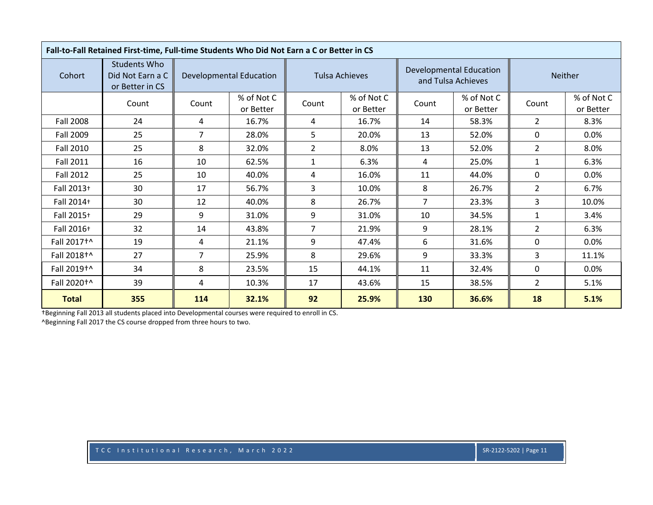| Fall-to-Fall Retained First-time, Full-time Students Who Did Not Earn a C or Better in CS |                                                            |       |                                |                |                         |       |                                                      |                |                         |  |
|-------------------------------------------------------------------------------------------|------------------------------------------------------------|-------|--------------------------------|----------------|-------------------------|-------|------------------------------------------------------|----------------|-------------------------|--|
| Cohort                                                                                    | <b>Students Who</b><br>Did Not Earn a C<br>or Better in CS |       | <b>Developmental Education</b> |                | <b>Tulsa Achieves</b>   |       | <b>Developmental Education</b><br>and Tulsa Achieves | Neither        |                         |  |
|                                                                                           | Count                                                      | Count | % of Not C<br>or Better        | Count          | % of Not C<br>or Better | Count | % of Not C<br>or Better                              | Count          | % of Not C<br>or Better |  |
| Fall 2008                                                                                 | 24                                                         | 4     | 16.7%                          | 4              | 16.7%                   | 14    | 58.3%                                                | $\overline{2}$ | 8.3%                    |  |
| Fall 2009                                                                                 | 25                                                         | 7     | 28.0%                          | 5              | 20.0%                   | 13    | 52.0%                                                | 0              | 0.0%                    |  |
| <b>Fall 2010</b>                                                                          | 25                                                         | 8     | 32.0%                          | $\overline{2}$ | 8.0%                    | 13    | 52.0%                                                | $\overline{2}$ | 8.0%                    |  |
| <b>Fall 2011</b>                                                                          | 16                                                         | 10    | 62.5%                          | $\mathbf{1}$   | 6.3%                    | 4     | 25.0%                                                | $\mathbf{1}$   | 6.3%                    |  |
| Fall 2012                                                                                 | 25                                                         | 10    | 40.0%                          | 4              | 16.0%                   | 11    | 44.0%                                                | $\Omega$       | 0.0%                    |  |
| Fall 2013+                                                                                | 30                                                         | 17    | 56.7%                          | 3              | 10.0%                   | 8     | 26.7%                                                | $\overline{2}$ | 6.7%                    |  |
| Fall 2014+                                                                                | 30                                                         | 12    | 40.0%                          | 8              | 26.7%                   | 7     | 23.3%                                                | 3              | 10.0%                   |  |
| Fall 2015+                                                                                | 29                                                         | 9     | 31.0%                          | 9              | 31.0%                   | 10    | 34.5%                                                | $\mathbf{1}$   | 3.4%                    |  |
| Fall 2016+                                                                                | 32                                                         | 14    | 43.8%                          | $\overline{7}$ | 21.9%                   | 9     | 28.1%                                                | $\overline{2}$ | 6.3%                    |  |
| Fall 2017 <sup>+</sup>                                                                    | 19                                                         | 4     | 21.1%                          | 9              | 47.4%                   | 6     | 31.6%                                                | $\Omega$       | $0.0\%$                 |  |
| Fall 2018 <sup>+^</sup>                                                                   | 27                                                         | 7     | 25.9%                          | 8              | 29.6%                   | 9     | 33.3%                                                | 3              | 11.1%                   |  |
| Fall 2019 <sup>+^</sup>                                                                   | 34                                                         | 8     | 23.5%                          | 15             | 44.1%                   | 11    | 32.4%                                                | 0              | 0.0%                    |  |
| Fall 2020 <sup>+</sup>                                                                    | 39                                                         | 4     | 10.3%                          | 17             | 43.6%                   | 15    | 38.5%                                                | $\overline{2}$ | 5.1%                    |  |
| <b>Total</b>                                                                              | 355                                                        | 114   | 32.1%                          | 92             | 25.9%                   | 130   | 36.6%                                                | 18             | 5.1%                    |  |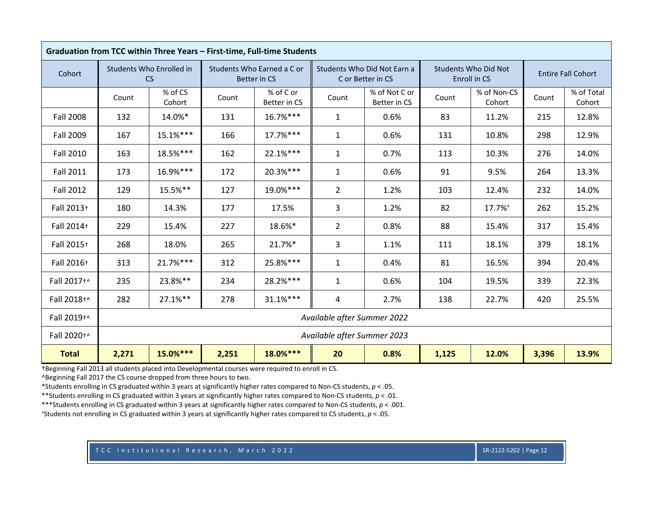|                  | Graduation from TCC within Three Years - First-time, Full-time Students |                                                                                     |       |                                                   |                             |                                                  |       |                                      |       |                           |  |  |
|------------------|-------------------------------------------------------------------------|-------------------------------------------------------------------------------------|-------|---------------------------------------------------|-----------------------------|--------------------------------------------------|-------|--------------------------------------|-------|---------------------------|--|--|
| Cohort           |                                                                         | Students Who Enrolled in<br><b>CS</b>                                               |       | Students Who Earned a C or<br><b>Better in CS</b> |                             | Students Who Did Not Earn a<br>C or Better in CS |       | Students Who Did Not<br>Enroll in CS |       | <b>Entire Fall Cohort</b> |  |  |
|                  | Count                                                                   | % of CS<br>Cohort                                                                   | Count | % of C or<br>Better in CS                         | Count                       | % of Not C or<br>Better in CS                    | Count | % of Non-CS<br>Cohort                | Count | % of Total<br>Cohort      |  |  |
| <b>Fall 2008</b> | 132                                                                     | 14.0%*                                                                              | 131   | 16.7%***                                          | $\mathbf{1}$                | 0.6%                                             | 83    | 11.2%                                | 215   | 12.8%                     |  |  |
| Fall 2009        | 167                                                                     | 15.1%***                                                                            | 166   | 17.7%***                                          | $\mathbf{1}$                | 0.6%                                             | 131   | 10.8%                                | 298   | 12.9%                     |  |  |
| <b>Fall 2010</b> | 163                                                                     | 18.5%***                                                                            | 162   | 22.1%***                                          | $\mathbf{1}$                | 0.7%                                             | 113   | 10.3%                                | 276   | 14.0%                     |  |  |
| <b>Fall 2011</b> | 173                                                                     | 16.9%***                                                                            | 172   | 20.3%***                                          | $\mathbf{1}$                | 0.6%                                             | 91    | 9.5%                                 | 264   | 13.3%                     |  |  |
| <b>Fall 2012</b> | 129                                                                     | 15.5%**                                                                             | 127   | 19.0%***                                          | $\overline{2}$              | 1.2%                                             | 103   | 12.4%                                | 232   | 14.0%                     |  |  |
| Fall 2013+       | 180                                                                     | 14.3%                                                                               | 177   | 17.5%                                             | 3                           | 1.2%                                             | 82    | 17.7%+                               | 262   | 15.2%                     |  |  |
| Fall 2014+       | 229                                                                     | 15.4%                                                                               | 227   | 18.6%*                                            | $\overline{2}$              | 0.8%                                             | 88    | 15.4%                                | 317   | 15.4%                     |  |  |
| Fall 2015+       | 268                                                                     | 18.0%                                                                               | 265   | 21.7%*                                            | 3                           | 1.1%                                             | 111   | 18.1%                                | 379   | 18.1%                     |  |  |
| Fall 2016+       | 313                                                                     | 21.7%***                                                                            | 312   | 25.8%***                                          | $\mathbf{1}$                | 0.4%                                             | 81    | 16.5%                                | 394   | 20.4%                     |  |  |
| Fall 2017+^      | 235                                                                     | 23.8%**                                                                             | 234   | 28.2%***                                          | $\mathbf{1}$                | 0.6%                                             | 104   | 19.5%                                | 339   | 22.3%                     |  |  |
| Fall 2018+^      | 282                                                                     | $27.1%$ **                                                                          | 278   | $31.1%***$                                        | $\overline{a}$              | 2.7%                                             | 138   | 22.7%                                | 420   | 25.5%                     |  |  |
| Fall 2019+^      | Available after Summer 2022                                             |                                                                                     |       |                                                   |                             |                                                  |       |                                      |       |                           |  |  |
| Fall 2020+^      |                                                                         |                                                                                     |       |                                                   | Available after Summer 2023 |                                                  |       |                                      |       |                           |  |  |
| <b>Total</b>     | 2,271                                                                   | $18.0%***$<br>$15.0%***$<br>20<br>2,251<br>0.8%<br>1,125<br>12.0%<br>3,396<br>13.9% |       |                                                   |                             |                                                  |       |                                      |       |                           |  |  |

^Beginning Fall 2017 the CS course dropped from three hours to two.

\*Students enrolling in CS graduated within 3 years at significantly higher rates compared to Non‐CS students, *p* <sup>&</sup>lt; .05.

\*\*Students enrolling in CS graduated within 3 years at significantly higher rates compared to Non‐CS students, *p* <sup>&</sup>lt; .01.

\*\*\*Students enrolling in CS graduated within 3 years at significantly higher rates compared to Non‐CS students, *p* <sup>&</sup>lt; .001.

+Students not enrolling in CS graduated within 3 years at significantly higher rates compared to CS students, *p* <sup>&</sup>lt; .05.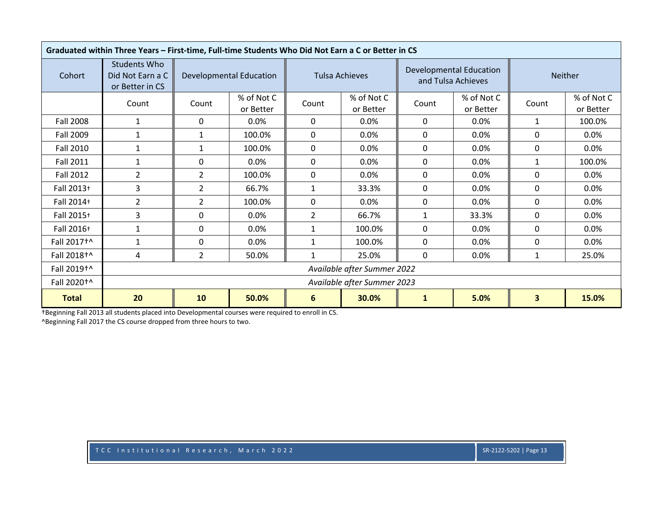|                         | Graduated within Three Years - First-time, Full-time Students Who Did Not Earn a C or Better in CS |                             |                                                                                 |                |                         |              |                                                      |         |                         |  |  |
|-------------------------|----------------------------------------------------------------------------------------------------|-----------------------------|---------------------------------------------------------------------------------|----------------|-------------------------|--------------|------------------------------------------------------|---------|-------------------------|--|--|
| Cohort                  | <b>Students Who</b><br>Did Not Earn a C<br>or Better in CS                                         |                             | <b>Developmental Education</b>                                                  |                | <b>Tulsa Achieves</b>   |              | <b>Developmental Education</b><br>and Tulsa Achieves | Neither |                         |  |  |
|                         | Count                                                                                              | Count                       | % of Not C<br>or Better                                                         | Count          | % of Not C<br>or Better | Count        | % of Not C<br>or Better                              | Count   | % of Not C<br>or Better |  |  |
| <b>Fall 2008</b>        | 1                                                                                                  | 0                           | 0.0%                                                                            | $\Omega$       | 0.0%                    | 0            | $0.0\%$                                              | 1       | 100.0%                  |  |  |
| Fall 2009               | 1                                                                                                  | 1                           | 100.0%                                                                          | 0              | 0.0%                    | 0            | $0.0\%$                                              | 0       | $0.0\%$                 |  |  |
| Fall 2010               | $\mathbf{1}$                                                                                       | $\mathbf{1}$                | 100.0%                                                                          | 0              | 0.0%                    | 0            | 0.0%                                                 | 0       | 0.0%                    |  |  |
| <b>Fall 2011</b>        | 1                                                                                                  | 0                           | 0.0%                                                                            | 0              | 0.0%                    | 0            | 0.0%                                                 | 1       | 100.0%                  |  |  |
| <b>Fall 2012</b>        | $\overline{2}$                                                                                     | $\overline{2}$              | 100.0%                                                                          | 0              | 0.0%                    | 0            | 0.0%                                                 | 0       | 0.0%                    |  |  |
| Fall 2013+              | 3                                                                                                  | 2                           | 66.7%                                                                           |                | 33.3%                   | 0            | 0.0%                                                 | 0       | 0.0%                    |  |  |
| Fall 2014+              | $\overline{2}$                                                                                     | $\overline{2}$              | 100.0%                                                                          | $\Omega$       | 0.0%                    | 0            | 0.0%                                                 | 0       | 0.0%                    |  |  |
| Fall 2015+              | 3                                                                                                  | 0                           | 0.0%                                                                            | $\overline{2}$ | 66.7%                   | $\mathbf{1}$ | 33.3%                                                | 0       | 0.0%                    |  |  |
| Fall 2016+              | $\mathbf{1}$                                                                                       | 0                           | 0.0%                                                                            | $\mathbf{1}$   | 100.0%                  | 0            | $0.0\%$                                              | 0       | $0.0\%$                 |  |  |
| Fall 2017 <sup>+</sup>  | 1                                                                                                  | 0                           | 0.0%                                                                            | 1              | 100.0%                  | $\Omega$     | 0.0%                                                 | 0       | 0.0%                    |  |  |
| Fall 2018 <sup>+^</sup> | 4                                                                                                  | 2                           | 50.0%                                                                           | $\mathbf{1}$   | 25.0%                   | $\Omega$     | 0.0%                                                 | 1       | 25.0%                   |  |  |
| Fall 2019 <sup>+^</sup> |                                                                                                    |                             | Available after Summer 2022                                                     |                |                         |              |                                                      |         |                         |  |  |
| Fall 2020 <sup>+^</sup> |                                                                                                    | Available after Summer 2023 |                                                                                 |                |                         |              |                                                      |         |                         |  |  |
| <b>Total</b>            | 20                                                                                                 | 10                          | 5.0%<br>$\overline{\mathbf{3}}$<br>15.0%<br>50.0%<br>6<br>30.0%<br>$\mathbf{1}$ |                |                         |              |                                                      |         |                         |  |  |

†Beginning Fall 2013 all students placed into Developmental courses were required to enroll in CS. ^Beginning Fall 2017 the CS course dropped from three hours to two.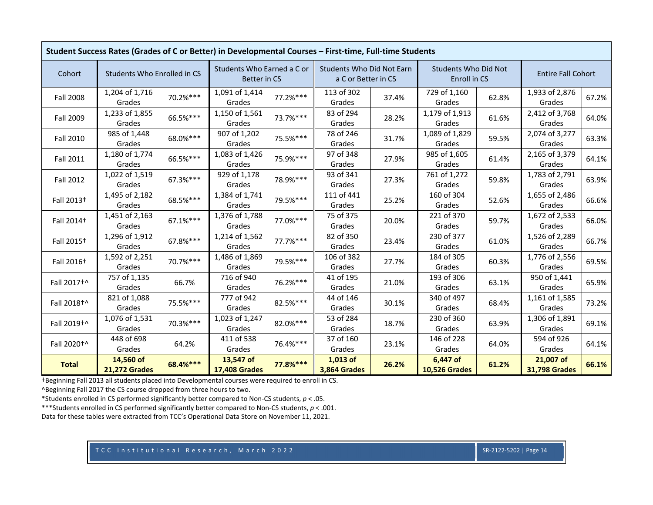|                        | Student Success Rates (Grades of C or Better) in Developmental Courses - First-time, Full-time Students |          |                                                   |          |                                                  |       |                                             |       |                                   |       |  |
|------------------------|---------------------------------------------------------------------------------------------------------|----------|---------------------------------------------------|----------|--------------------------------------------------|-------|---------------------------------------------|-------|-----------------------------------|-------|--|
| Cohort                 | Students Who Enrolled in CS                                                                             |          | Students Who Earned a C or<br><b>Better in CS</b> |          | Students Who Did Not Earn<br>a C or Better in CS |       | <b>Students Who Did Not</b><br>Enroll in CS |       | <b>Entire Fall Cohort</b>         |       |  |
| <b>Fall 2008</b>       | 1,204 of 1,716<br>Grades                                                                                | 70.2%*** | 1,091 of 1,414<br>Grades                          | 77.2%*** | 113 of 302<br>Grades                             | 37.4% | 729 of 1,160<br>Grades                      | 62.8% | 1,933 of 2,876<br>Grades          | 67.2% |  |
| <b>Fall 2009</b>       | 1,233 of 1,855<br>Grades                                                                                | 66.5%*** | 1,150 of 1,561<br>Grades                          | 73.7%*** | 83 of 294<br>Grades                              | 28.2% | 1,179 of 1,913<br>Grades                    | 61.6% | 2,412 of 3,768<br>Grades          | 64.0% |  |
| Fall 2010              | 985 of 1,448<br>Grades                                                                                  | 68.0%*** | 907 of 1,202<br>Grades                            | 75.5%*** | 78 of 246<br>Grades                              | 31.7% | 1,089 of 1,829<br>Grades                    | 59.5% | 2,074 of 3,277<br>Grades          | 63.3% |  |
| Fall 2011              | 1,180 of 1,774<br>Grades                                                                                | 66.5%*** | 1,083 of 1,426<br>Grades                          | 75.9%*** | 97 of 348<br>Grades                              | 27.9% | 985 of 1,605<br>Grades                      | 61.4% | 2,165 of 3,379<br>Grades          | 64.1% |  |
| <b>Fall 2012</b>       | 1,022 of 1,519<br>Grades                                                                                | 67.3%*** | 929 of 1,178<br>Grades                            | 78.9%*** | 93 of 341<br>Grades                              | 27.3% | 761 of 1,272<br>Grades                      | 59.8% | 1,783 of 2,791<br>Grades          | 63.9% |  |
| Fall 2013 <sup>+</sup> | 1,495 of 2,182<br>Grades                                                                                | 68.5%*** | 1,384 of 1,741<br>Grades                          | 79.5%*** | 111 of 441<br>Grades                             | 25.2% | 160 of 304<br>Grades                        | 52.6% | 1,655 of 2,486<br>Grades          | 66.6% |  |
| Fall 2014 <sup>+</sup> | 1,451 of 2,163<br>Grades                                                                                | 67.1%*** | 1,376 of 1,788<br>Grades                          | 77.0%*** | 75 of 375<br>Grades                              | 20.0% | 221 of 370<br>Grades                        | 59.7% | 1,672 of 2,533<br>Grades          | 66.0% |  |
| Fall 2015 <sup>+</sup> | 1,296 of 1,912<br>Grades                                                                                | 67.8%*** | 1,214 of 1,562<br>Grades                          | 77.7%*** | 82 of 350<br>Grades                              | 23.4% | 230 of 377<br>Grades                        | 61.0% | 1,526 of 2,289<br>Grades          | 66.7% |  |
| Fall 2016 <sup>+</sup> | 1,592 of 2,251<br>Grades                                                                                | 70.7%*** | 1,486 of 1,869<br>Grades                          | 79.5%*** | 106 of 382<br>Grades                             | 27.7% | 184 of 305<br>Grades                        | 60.3% | 1,776 of 2,556<br>Grades          | 69.5% |  |
| Fall 2017+^            | 757 of 1,135<br>Grades                                                                                  | 66.7%    | 716 of 940<br>Grades                              | 76.2%*** | 41 of 195<br>Grades                              | 21.0% | 193 of 306<br>Grades                        | 63.1% | 950 of 1,441<br>Grades            | 65.9% |  |
| Fall 2018+^            | 821 of 1,088<br>Grades                                                                                  | 75.5%*** | 777 of 942<br>Grades                              | 82.5%*** | 44 of 146<br>Grades                              | 30.1% | 340 of 497<br>Grades                        | 68.4% | 1,161 of 1,585<br>Grades          | 73.2% |  |
| Fall 2019+^            | 1,076 of 1,531<br>Grades                                                                                | 70.3%*** | 1,023 of 1,247<br>Grades                          | 82.0%*** | 53 of 284<br>Grades                              | 18.7% | 230 of 360<br>Grades                        | 63.9% | 1,306 of 1,891<br>Grades          | 69.1% |  |
| Fall 2020 <sup>+</sup> | 448 of 698<br>Grades                                                                                    | 64.2%    | 411 of 538<br>Grades                              | 76.4%*** | 37 of 160<br>Grades                              | 23.1% | 146 of 228<br>Grades                        | 64.0% | 594 of 926<br>Grades              | 64.1% |  |
| <b>Total</b>           | 14,560 of<br><b>21,272 Grades</b>                                                                       | 68.4%*** | 13,547 of<br><b>17,408 Grades</b>                 | 77.8%*** | $1,013$ of<br>3,864 Grades                       | 26.2% | 6,447 of<br><b>10,526 Grades</b>            | 61.2% | 21,007 of<br><b>31,798 Grades</b> | 66.1% |  |

^Beginning Fall 2017 the CS course dropped from three hours to two.

\*Students enrolled in CS performed significantly better compared to Non‐CS students, *p* <sup>&</sup>lt; .05.

\*\*\*Students enrolled in CS performed significantly better compared to Non‐CS students, *p* <sup>&</sup>lt; .001.

Data for these tables were extracted from TCC's Operational Data Store on November 11, 2021.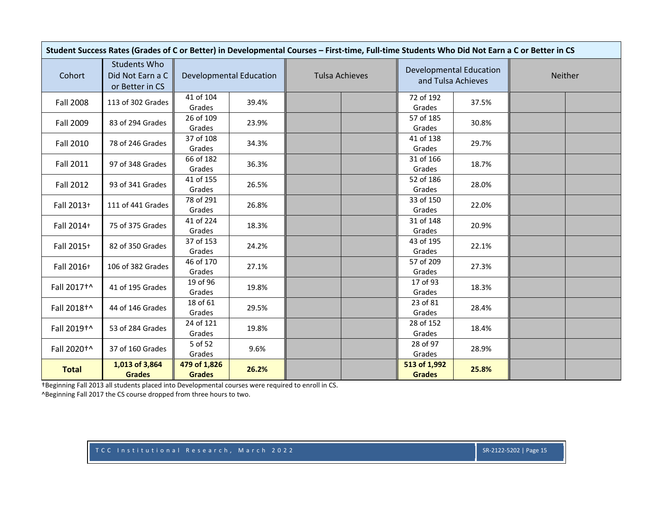| Student Success Rates (Grades of C or Better) in Developmental Courses - First-time, Full-time Students Who Did Not Earn a C or Better in CS |                                                            |                               |                                |                       |                               |                                |         |  |  |  |  |
|----------------------------------------------------------------------------------------------------------------------------------------------|------------------------------------------------------------|-------------------------------|--------------------------------|-----------------------|-------------------------------|--------------------------------|---------|--|--|--|--|
| Cohort                                                                                                                                       | <b>Students Who</b><br>Did Not Earn a C<br>or Better in CS |                               | <b>Developmental Education</b> | <b>Tulsa Achieves</b> | and Tulsa Achieves            | <b>Developmental Education</b> | Neither |  |  |  |  |
| <b>Fall 2008</b>                                                                                                                             | 113 of 302 Grades                                          | 41 of 104<br>Grades           | 39.4%                          |                       | 72 of 192<br>Grades           | 37.5%                          |         |  |  |  |  |
| Fall 2009                                                                                                                                    | 83 of 294 Grades                                           | 26 of 109<br>Grades           | 23.9%                          |                       | 57 of 185<br>Grades           | 30.8%                          |         |  |  |  |  |
| <b>Fall 2010</b>                                                                                                                             | 78 of 246 Grades                                           | 37 of 108<br>Grades           | 34.3%                          |                       | 41 of 138<br>Grades           | 29.7%                          |         |  |  |  |  |
| <b>Fall 2011</b>                                                                                                                             | 97 of 348 Grades                                           | 66 of 182<br>Grades           | 36.3%                          |                       | 31 of 166<br>Grades           | 18.7%                          |         |  |  |  |  |
| <b>Fall 2012</b>                                                                                                                             | 93 of 341 Grades                                           | 41 of 155<br>Grades           | 26.5%                          |                       | 52 of 186<br>Grades           | 28.0%                          |         |  |  |  |  |
| Fall 2013+                                                                                                                                   | 111 of 441 Grades                                          | 78 of 291<br>Grades           | 26.8%                          |                       | 33 of 150<br>Grades           | 22.0%                          |         |  |  |  |  |
| Fall 2014+                                                                                                                                   | 75 of 375 Grades                                           | 41 of 224<br>Grades           | 18.3%                          |                       | 31 of 148<br>Grades           | 20.9%                          |         |  |  |  |  |
| Fall 2015+                                                                                                                                   | 82 of 350 Grades                                           | 37 of 153<br>Grades           | 24.2%                          |                       | 43 of 195<br>Grades           | 22.1%                          |         |  |  |  |  |
| Fall 2016+                                                                                                                                   | 106 of 382 Grades                                          | 46 of 170<br>Grades           | 27.1%                          |                       | 57 of 209<br>Grades           | 27.3%                          |         |  |  |  |  |
| Fall 2017+^                                                                                                                                  | 41 of 195 Grades                                           | 19 of 96<br>Grades            | 19.8%                          |                       | 17 of 93<br>Grades            | 18.3%                          |         |  |  |  |  |
| Fall 2018+^                                                                                                                                  | 44 of 146 Grades                                           | 18 of 61<br>Grades            | 29.5%                          |                       | 23 of 81<br>Grades            | 28.4%                          |         |  |  |  |  |
| Fall 2019+^                                                                                                                                  | 53 of 284 Grades                                           | 24 of 121<br>Grades           | 19.8%                          |                       | 28 of 152<br>Grades           | 18.4%                          |         |  |  |  |  |
| Fall 2020 <sup>+^</sup>                                                                                                                      | 37 of 160 Grades                                           | 5 of 52<br>Grades             | 9.6%                           |                       | 28 of 97<br>Grades            | 28.9%                          |         |  |  |  |  |
| <b>Total</b>                                                                                                                                 | 1,013 of 3,864<br><b>Grades</b>                            | 479 of 1,826<br><b>Grades</b> | 26.2%                          |                       | 513 of 1,992<br><b>Grades</b> | 25.8%                          |         |  |  |  |  |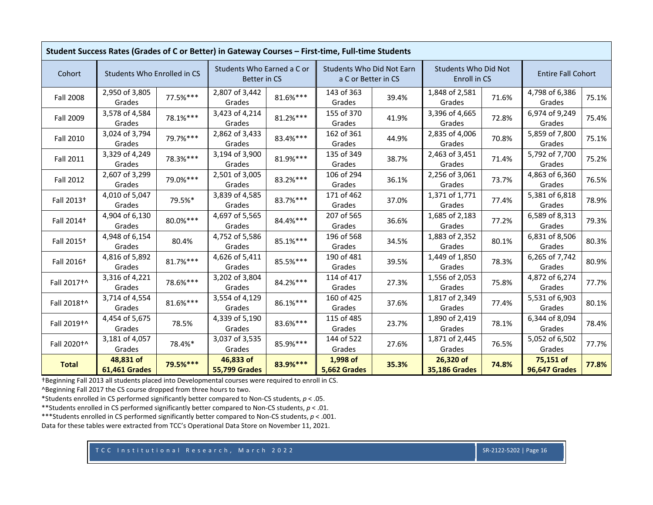|                         | Student Success Rates (Grades of C or Better) in Gateway Courses - First-time, Full-time Students |          |                                            |          |                                                         |       |                                             |       |                                   |       |  |
|-------------------------|---------------------------------------------------------------------------------------------------|----------|--------------------------------------------|----------|---------------------------------------------------------|-------|---------------------------------------------|-------|-----------------------------------|-------|--|
| Cohort                  | Students Who Enrolled in CS                                                                       |          | Students Who Earned a C or<br>Better in CS |          | <b>Students Who Did Not Earn</b><br>a C or Better in CS |       | <b>Students Who Did Not</b><br>Enroll in CS |       | <b>Entire Fall Cohort</b>         |       |  |
| <b>Fall 2008</b>        | 2,950 of 3,805<br>Grades                                                                          | 77.5%*** | 2,807 of 3,442<br>Grades                   | 81.6%*** | 143 of 363<br>Grades                                    | 39.4% | 1,848 of 2,581<br>Grades                    | 71.6% | 4,798 of 6,386<br>Grades          | 75.1% |  |
| Fall 2009               | 3,578 of 4,584<br>Grades                                                                          | 78.1%*** | 3,423 of 4,214<br>Grades                   | 81.2%*** | 155 of 370<br>Grades                                    | 41.9% | 3,396 of 4,665<br>Grades                    | 72.8% | 6,974 of 9,249<br>Grades          | 75.4% |  |
| Fall 2010               | 3,024 of 3,794<br>Grades                                                                          | 79.7%*** | 2,862 of 3,433<br>Grades                   | 83.4%*** | 162 of 361<br>Grades                                    | 44.9% | 2,835 of 4,006<br>Grades                    | 70.8% | 5,859 of 7,800<br>Grades          | 75.1% |  |
| Fall 2011               | 3,329 of 4,249<br>Grades                                                                          | 78.3%*** | 3,194 of 3,900<br>Grades                   | 81.9%*** | 135 of 349<br>Grades                                    | 38.7% | 2,463 of 3,451<br>Grades                    | 71.4% | 5,792 of 7,700<br>Grades          | 75.2% |  |
| Fall 2012               | 2,607 of 3,299<br>Grades                                                                          | 79.0%*** | 2,501 of 3,005<br>Grades                   | 83.2%*** | 106 of 294<br>Grades                                    | 36.1% | 2,256 of 3,061<br>Grades                    | 73.7% | 4,863 of 6,360<br>Grades          | 76.5% |  |
| Fall 2013 <sup>+</sup>  | 4,010 of 5,047<br>Grades                                                                          | 79.5%*   | 3,839 of 4,585<br>Grades                   | 83.7%*** | 171 of 462<br>Grades                                    | 37.0% | 1,371 of 1,771<br>Grades                    | 77.4% | 5,381 of 6,818<br>Grades          | 78.9% |  |
| Fall 2014 <sup>+</sup>  | 4,904 of 6,130<br>Grades                                                                          | 80.0%*** | 4,697 of 5,565<br>Grades                   | 84.4%*** | 207 of 565<br>Grades                                    | 36.6% | 1,685 of 2,183<br>Grades                    | 77.2% | 6,589 of 8,313<br>Grades          | 79.3% |  |
| Fall 2015+              | 4,948 of 6,154<br>Grades                                                                          | 80.4%    | 4,752 of 5,586<br>Grades                   | 85.1%*** | 196 of 568<br>Grades                                    | 34.5% | 1,883 of 2,352<br>Grades                    | 80.1% | 6,831 of 8,506<br>Grades          | 80.3% |  |
| Fall 2016 <sup>+</sup>  | 4,816 of 5,892<br>Grades                                                                          | 81.7%*** | 4,626 of 5,411<br>Grades                   | 85.5%*** | 190 of 481<br>Grades                                    | 39.5% | 1,449 of 1,850<br>Grades                    | 78.3% | 6,265 of 7,742<br>Grades          | 80.9% |  |
| Fall 2017 <sup>+^</sup> | 3,316 of 4,221<br>Grades                                                                          | 78.6%*** | 3,202 of 3,804<br>Grades                   | 84.2%*** | 114 of 417<br>Grades                                    | 27.3% | 1,556 of 2,053<br>Grades                    | 75.8% | 4,872 of 6,274<br>Grades          | 77.7% |  |
| Fall 2018 <sup>+^</sup> | 3,714 of 4,554<br>Grades                                                                          | 81.6%*** | 3,554 of 4,129<br>Grades                   | 86.1%*** | 160 of 425<br>Grades                                    | 37.6% | 1,817 of 2,349<br>Grades                    | 77.4% | 5,531 of 6,903<br>Grades          | 80.1% |  |
| Fall 2019+^             | 4,454 of 5,675<br>Grades                                                                          | 78.5%    | 4,339 of 5,190<br>Grades                   | 83.6%*** | 115 of 485<br>Grades                                    | 23.7% | 1,890 of 2,419<br>Grades                    | 78.1% | 6,344 of 8,094<br>Grades          | 78.4% |  |
| Fall 2020 <sup>+^</sup> | 3,181 of 4,057<br>Grades                                                                          | 78.4%*   | 3,037 of 3,535<br>Grades                   | 85.9%*** | 144 of 522<br>Grades                                    | 27.6% | 1,871 of 2,445<br>Grades                    | 76.5% | 5,052 of 6,502<br>Grades          | 77.7% |  |
| <b>Total</b>            | 48,831 of<br><b>61,461 Grades</b>                                                                 | 79.5%*** | 46,833 of<br><b>55,799 Grades</b>          | 83.9%*** | 1,998 of<br>5,662 Grades                                | 35.3% | 26,320 of<br><b>35,186 Grades</b>           | 74.8% | 75,151 of<br><b>96,647 Grades</b> | 77.8% |  |

^Beginning Fall 2017 the CS course dropped from three hours to two.

\*Students enrolled in CS performed significantly better compared to Non‐CS students, *p* <sup>&</sup>lt; .05.

\*\*Students enrolled in CS performed significantly better compared to Non‐CS students, *p* <sup>&</sup>lt; .01.

\*\*\*Students enrolled in CS performed significantly better compared to Non‐CS students, *p* <sup>&</sup>lt; .001.

Data for these tables were extracted from TCC's Operational Data Store on November 11, 2021.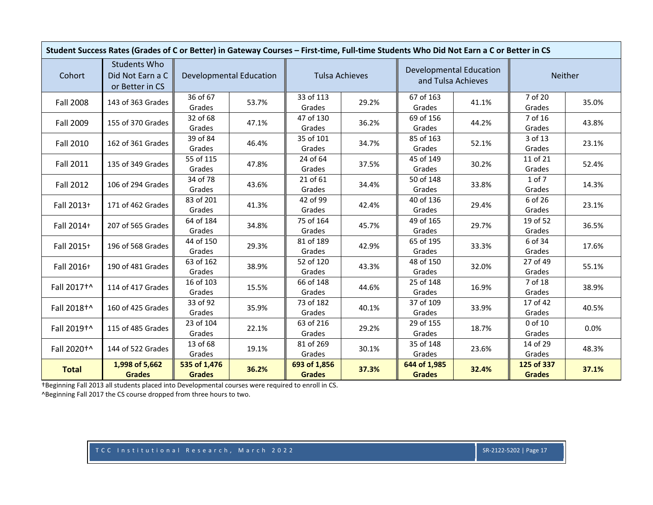| Student Success Rates (Grades of C or Better) in Gateway Courses - First-time, Full-time Students Who Did Not Earn a C or Better in CS |                                                            |                                |       |                               |       |                                                      |       |                             |       |  |
|----------------------------------------------------------------------------------------------------------------------------------------|------------------------------------------------------------|--------------------------------|-------|-------------------------------|-------|------------------------------------------------------|-------|-----------------------------|-------|--|
| Cohort                                                                                                                                 | <b>Students Who</b><br>Did Not Earn a C<br>or Better in CS | <b>Developmental Education</b> |       | <b>Tulsa Achieves</b>         |       | <b>Developmental Education</b><br>and Tulsa Achieves |       | <b>Neither</b>              |       |  |
| <b>Fall 2008</b>                                                                                                                       | 143 of 363 Grades                                          | 36 of 67<br>Grades             | 53.7% | 33 of 113<br>Grades           | 29.2% | 67 of 163<br>Grades                                  | 41.1% | 7 of 20<br>Grades           | 35.0% |  |
| <b>Fall 2009</b>                                                                                                                       | 155 of 370 Grades                                          | 32 of 68<br>Grades             | 47.1% | 47 of 130<br>Grades           | 36.2% | 69 of 156<br>Grades                                  | 44.2% | 7 of 16<br>Grades           | 43.8% |  |
| Fall 2010                                                                                                                              | 162 of 361 Grades                                          | 39 of 84<br>Grades             | 46.4% | 35 of 101<br>Grades           | 34.7% | 85 of 163<br>Grades                                  | 52.1% | 3 of 13<br>Grades           | 23.1% |  |
| <b>Fall 2011</b>                                                                                                                       | 135 of 349 Grades                                          | 55 of 115<br>Grades            | 47.8% | 24 of 64<br>Grades            | 37.5% | 45 of 149<br>Grades                                  | 30.2% | 11 of 21<br>Grades          | 52.4% |  |
| Fall 2012                                                                                                                              | 106 of 294 Grades                                          | 34 of 78<br>Grades             | 43.6% | 21 of 61<br>Grades            | 34.4% | 50 of 148<br>Grades                                  | 33.8% | 1 of 7<br>Grades            | 14.3% |  |
| Fall 2013+                                                                                                                             | 171 of 462 Grades                                          | 83 of 201<br>Grades            | 41.3% | 42 of 99<br>Grades            | 42.4% | 40 of 136<br>Grades                                  | 29.4% | 6 of 26<br>Grades           | 23.1% |  |
| Fall 2014+                                                                                                                             | 207 of 565 Grades                                          | 64 of 184<br>Grades            | 34.8% | 75 of 164<br>Grades           | 45.7% | 49 of 165<br>Grades                                  | 29.7% | 19 of 52<br>Grades          | 36.5% |  |
| Fall 2015+                                                                                                                             | 196 of 568 Grades                                          | 44 of 150<br>Grades            | 29.3% | 81 of 189<br>Grades           | 42.9% | 65 of 195<br>Grades                                  | 33.3% | 6 of 34<br>Grades           | 17.6% |  |
| Fall 2016+                                                                                                                             | 190 of 481 Grades                                          | 63 of 162<br>Grades            | 38.9% | 52 of 120<br>Grades           | 43.3% | 48 of 150<br>Grades                                  | 32.0% | 27 of 49<br>Grades          | 55.1% |  |
| Fall 2017+^                                                                                                                            | 114 of 417 Grades                                          | 16 of 103<br>Grades            | 15.5% | 66 of 148<br>Grades           | 44.6% | 25 of 148<br>Grades                                  | 16.9% | 7 of 18<br>Grades           | 38.9% |  |
| Fall 2018 <sup>+^</sup>                                                                                                                | 160 of 425 Grades                                          | 33 of 92<br>Grades             | 35.9% | 73 of 182<br>Grades           | 40.1% | 37 of 109<br>Grades                                  | 33.9% | 17 of 42<br>Grades          | 40.5% |  |
| Fall 2019+^                                                                                                                            | 115 of 485 Grades                                          | 23 of 104<br>Grades            | 22.1% | 63 of 216<br>Grades           | 29.2% | 29 of 155<br>Grades                                  | 18.7% | 0 of 10<br>Grades           | 0.0%  |  |
| Fall 2020 <sup>+</sup>                                                                                                                 | 144 of 522 Grades                                          | 13 of 68<br>Grades             | 19.1% | 81 of 269<br>Grades           | 30.1% | 35 of 148<br>Grades                                  | 23.6% | 14 of 29<br>Grades          | 48.3% |  |
| <b>Total</b>                                                                                                                           | 1,998 of 5,662<br><b>Grades</b>                            | 535 of 1,476<br><b>Grades</b>  | 36.2% | 693 of 1,856<br><b>Grades</b> | 37.3% | 644 of 1,985<br><b>Grades</b>                        | 32.4% | 125 of 337<br><b>Grades</b> | 37.1% |  |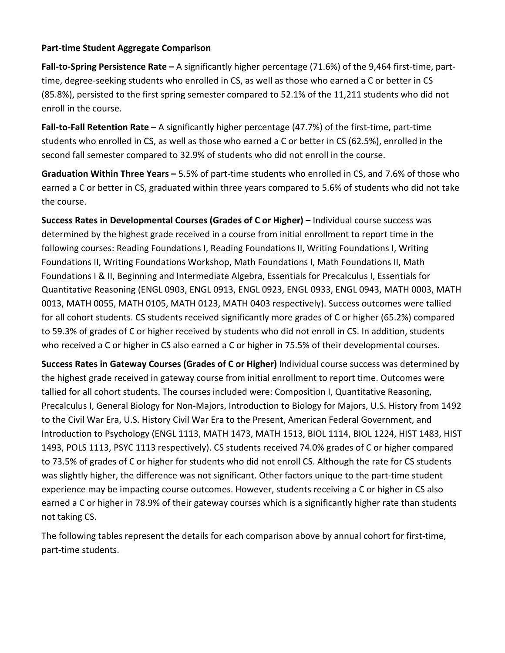### **Part‐time Student Aggregate Comparison**

**Fall‐to‐Spring Persistence Rate –** A significantly higher percentage (71.6%) of the 9,464 first‐time, part‐ time, degree-seeking students who enrolled in CS, as well as those who earned a C or better in CS (85.8%), persisted to the first spring semester compared to 52.1% of the 11,211 students who did not enroll in the course.

**Fall‐to‐Fall Retention Rate** – A significantly higher percentage (47.7%) of the first‐time, part‐time students who enrolled in CS, as well as those who earned a C or better in CS (62.5%), enrolled in the second fall semester compared to 32.9% of students who did not enroll in the course.

**Graduation Within Three Years –** 5.5% of part‐time students who enrolled in CS, and 7.6% of those who earned a C or better in CS, graduated within three years compared to 5.6% of students who did not take the course.

**Success Rates in Developmental Courses (Grades of C or Higher) –** Individual course success was determined by the highest grade received in a course from initial enrollment to report time in the following courses: Reading Foundations I, Reading Foundations II, Writing Foundations I, Writing Foundations II, Writing Foundations Workshop, Math Foundations I, Math Foundations II, Math Foundations I & II, Beginning and Intermediate Algebra, Essentials for Precalculus I, Essentials for Quantitative Reasoning (ENGL 0903, ENGL 0913, ENGL 0923, ENGL 0933, ENGL 0943, MATH 0003, MATH 0013, MATH 0055, MATH 0105, MATH 0123, MATH 0403 respectively). Success outcomes were tallied for all cohort students. CS students received significantly more grades of C or higher (65.2%) compared to 59.3% of grades of C or higher received by students who did not enroll in CS. In addition, students who received a C or higher in CS also earned a C or higher in 75.5% of their developmental courses.

**Success Rates in Gateway Courses (Grades of C or Higher)** Individual course success was determined by the highest grade received in gateway course from initial enrollment to report time. Outcomes were tallied for all cohort students. The courses included were: Composition I, Quantitative Reasoning, Precalculus I, General Biology for Non‐Majors, Introduction to Biology for Majors, U.S. History from 1492 to the Civil War Era, U.S. History Civil War Era to the Present, American Federal Government, and Introduction to Psychology (ENGL 1113, MATH 1473, MATH 1513, BIOL 1114, BIOL 1224, HIST 1483, HIST 1493, POLS 1113, PSYC 1113 respectively). CS students received 74.0% grades of C or higher compared to 73.5% of grades of C or higher for students who did not enroll CS. Although the rate for CS students was slightly higher, the difference was not significant. Other factors unique to the part-time student experience may be impacting course outcomes. However, students receiving a C or higher in CS also earned a C or higher in 78.9% of their gateway courses which is a significantly higher rate than students not taking CS.

The following tables represent the details for each comparison above by annual cohort for first-time, part‐time students.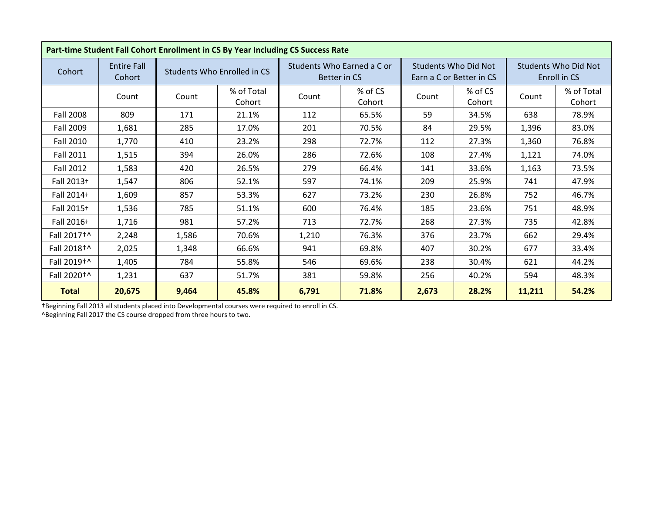|                         | Part-time Student Fall Cohort Enrollment in CS By Year Including CS Success Rate |       |                             |       |                                            |       |                                                         |                                             |                      |  |  |
|-------------------------|----------------------------------------------------------------------------------|-------|-----------------------------|-------|--------------------------------------------|-------|---------------------------------------------------------|---------------------------------------------|----------------------|--|--|
| Cohort                  | <b>Entire Fall</b><br>Cohort                                                     |       | Students Who Enrolled in CS |       | Students Who Earned a C or<br>Better in CS |       | <b>Students Who Did Not</b><br>Earn a C or Better in CS | <b>Students Who Did Not</b><br>Enroll in CS |                      |  |  |
|                         | Count                                                                            | Count | % of Total<br>Cohort        | Count | % of CS<br>Cohort                          | Count | % of CS<br>Cohort                                       | Count                                       | % of Total<br>Cohort |  |  |
| <b>Fall 2008</b>        | 809                                                                              | 171   | 21.1%                       | 112   | 65.5%                                      | 59    | 34.5%                                                   | 638                                         | 78.9%                |  |  |
| Fall 2009               | 1,681                                                                            | 285   | 17.0%                       | 201   | 70.5%                                      | 84    | 29.5%                                                   | 1,396                                       | 83.0%                |  |  |
| <b>Fall 2010</b>        | 1,770                                                                            | 410   | 23.2%                       | 298   | 72.7%                                      | 112   | 27.3%                                                   | 1,360                                       | 76.8%                |  |  |
| <b>Fall 2011</b>        | 1,515                                                                            | 394   | 26.0%                       | 286   | 72.6%                                      | 108   | 27.4%                                                   | 1,121                                       | 74.0%                |  |  |
| <b>Fall 2012</b>        | 1,583                                                                            | 420   | 26.5%                       | 279   | 66.4%                                      | 141   | 33.6%                                                   | 1,163                                       | 73.5%                |  |  |
| Fall 2013+              | 1,547                                                                            | 806   | 52.1%                       | 597   | 74.1%                                      | 209   | 25.9%                                                   | 741                                         | 47.9%                |  |  |
| Fall 2014+              | 1,609                                                                            | 857   | 53.3%                       | 627   | 73.2%                                      | 230   | 26.8%                                                   | 752                                         | 46.7%                |  |  |
| Fall 2015+              | 1,536                                                                            | 785   | 51.1%                       | 600   | 76.4%                                      | 185   | 23.6%                                                   | 751                                         | 48.9%                |  |  |
| Fall 2016+              | 1,716                                                                            | 981   | 57.2%                       | 713   | 72.7%                                      | 268   | 27.3%                                                   | 735                                         | 42.8%                |  |  |
| Fall 2017 <sup>+^</sup> | 2,248                                                                            | 1,586 | 70.6%                       | 1,210 | 76.3%                                      | 376   | 23.7%                                                   | 662                                         | 29.4%                |  |  |
| Fall 2018 <sup>+^</sup> | 2,025                                                                            | 1,348 | 66.6%                       | 941   | 69.8%                                      | 407   | 30.2%                                                   | 677                                         | 33.4%                |  |  |
| Fall 2019 <sup>+^</sup> | 1,405                                                                            | 784   | 55.8%                       | 546   | 69.6%                                      | 238   | 30.4%                                                   | 621                                         | 44.2%                |  |  |
| Fall 2020 <sup>+</sup>  | 1,231                                                                            | 637   | 51.7%                       | 381   | 59.8%                                      | 256   | 40.2%                                                   | 594                                         | 48.3%                |  |  |
| <b>Total</b>            | 20,675                                                                           | 9,464 | 45.8%                       | 6,791 | 71.8%                                      | 2,673 | 28.2%                                                   | 11,211                                      | 54.2%                |  |  |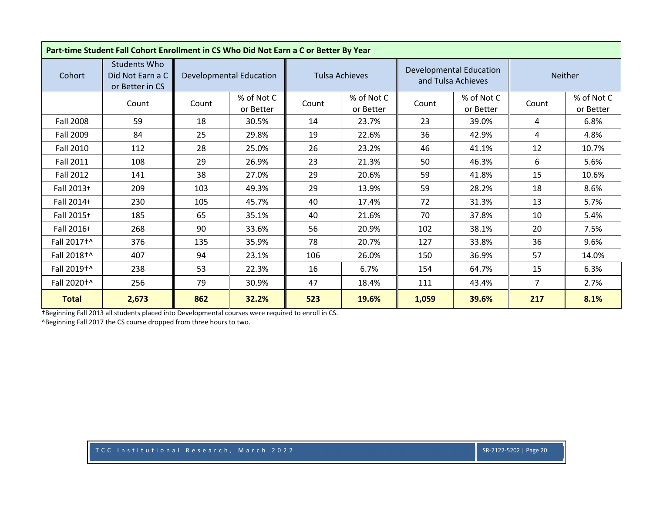| Part-time Student Fall Cohort Enrollment in CS Who Did Not Earn a C or Better By Year |                                                     |       |                                |       |                         |       |                                                      |                |                         |  |
|---------------------------------------------------------------------------------------|-----------------------------------------------------|-------|--------------------------------|-------|-------------------------|-------|------------------------------------------------------|----------------|-------------------------|--|
| Cohort                                                                                | Students Who<br>Did Not Earn a C<br>or Better in CS |       | <b>Developmental Education</b> |       | <b>Tulsa Achieves</b>   |       | <b>Developmental Education</b><br>and Tulsa Achieves |                | Neither                 |  |
|                                                                                       | Count                                               | Count | % of Not C<br>or Better        | Count | % of Not C<br>or Better | Count | % of Not C<br>or Better                              | Count          | % of Not C<br>or Better |  |
| Fall 2008                                                                             | 59                                                  | 18    | 30.5%                          | 14    | 23.7%                   | 23    | 39.0%                                                | 4              | 6.8%                    |  |
| Fall 2009                                                                             | 84                                                  | 25    | 29.8%                          | 19    | 22.6%                   | 36    | 42.9%                                                | 4              | 4.8%                    |  |
| Fall 2010                                                                             | 112                                                 | 28    | 25.0%                          | 26    | 23.2%                   | 46    | 41.1%                                                | 12             | 10.7%                   |  |
| <b>Fall 2011</b>                                                                      | 108                                                 | 29    | 26.9%                          | 23    | 21.3%                   | 50    | 46.3%                                                | 6              | 5.6%                    |  |
| Fall 2012                                                                             | 141                                                 | 38    | 27.0%                          | 29    | 20.6%                   | 59    | 41.8%                                                | 15             | 10.6%                   |  |
| Fall 2013+                                                                            | 209                                                 | 103   | 49.3%                          | 29    | 13.9%                   | 59    | 28.2%                                                | 18             | 8.6%                    |  |
| Fall 2014+                                                                            | 230                                                 | 105   | 45.7%                          | 40    | 17.4%                   | 72    | 31.3%                                                | 13             | 5.7%                    |  |
| Fall 2015+                                                                            | 185                                                 | 65    | 35.1%                          | 40    | 21.6%                   | 70    | 37.8%                                                | 10             | 5.4%                    |  |
| Fall 2016+                                                                            | 268                                                 | 90    | 33.6%                          | 56    | 20.9%                   | 102   | 38.1%                                                | 20             | 7.5%                    |  |
| Fall 2017+^                                                                           | 376                                                 | 135   | 35.9%                          | 78    | 20.7%                   | 127   | 33.8%                                                | 36             | 9.6%                    |  |
| Fall 2018 <sup>+^</sup>                                                               | 407                                                 | 94    | 23.1%                          | 106   | 26.0%                   | 150   | 36.9%                                                | 57             | 14.0%                   |  |
| Fall 2019 <sup>+^</sup>                                                               | 238                                                 | 53    | 22.3%                          | 16    | 6.7%                    | 154   | 64.7%                                                | 15             | 6.3%                    |  |
| Fall 2020 <sup>+</sup>                                                                | 256                                                 | 79    | 30.9%                          | 47    | 18.4%                   | 111   | 43.4%                                                | $\overline{7}$ | 2.7%                    |  |
| <b>Total</b>                                                                          | 2,673                                               | 862   | 32.2%                          | 523   | 19.6%                   | 1,059 | 39.6%                                                | 217            | 8.1%                    |  |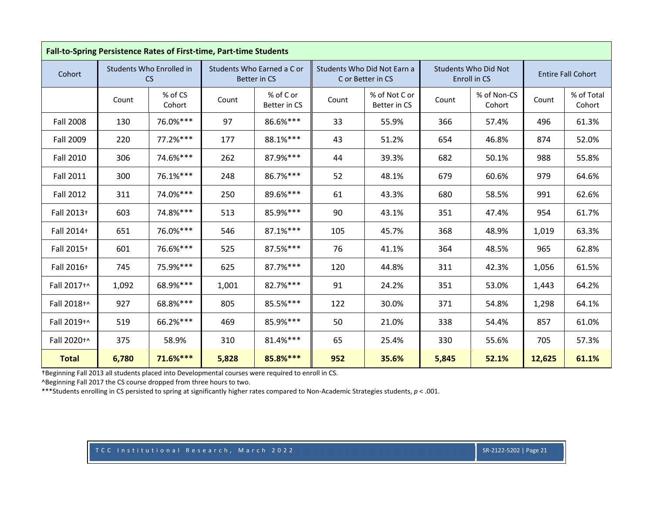|                  | Fall-to-Spring Persistence Rates of First-time, Part-time Students |                                |       |                                            |       |                                                  |       |                                             |        |                           |  |
|------------------|--------------------------------------------------------------------|--------------------------------|-------|--------------------------------------------|-------|--------------------------------------------------|-------|---------------------------------------------|--------|---------------------------|--|
| Cohort           |                                                                    | Students Who Enrolled in<br>CS |       | Students Who Earned a C or<br>Better in CS |       | Students Who Did Not Earn a<br>C or Better in CS |       | <b>Students Who Did Not</b><br>Enroll in CS |        | <b>Entire Fall Cohort</b> |  |
|                  | Count                                                              | % of CS<br>Cohort              | Count | % of C or<br>Better in CS                  | Count | % of Not C or<br>Better in CS                    | Count | % of Non-CS<br>Cohort                       | Count  | % of Total<br>Cohort      |  |
| <b>Fall 2008</b> | 130                                                                | 76.0%***                       | 97    | 86.6%***                                   | 33    | 55.9%                                            | 366   | 57.4%                                       | 496    | 61.3%                     |  |
| <b>Fall 2009</b> | 220                                                                | 77.2%***                       | 177   | 88.1%***                                   | 43    | 51.2%                                            | 654   | 46.8%                                       | 874    | 52.0%                     |  |
| <b>Fall 2010</b> | 306                                                                | 74.6%***                       | 262   | 87.9%***                                   | 44    | 39.3%                                            | 682   | 50.1%                                       | 988    | 55.8%                     |  |
| <b>Fall 2011</b> | 300                                                                | 76.1%***                       | 248   | 86.7%***                                   | 52    | 48.1%                                            | 679   | 60.6%                                       | 979    | 64.6%                     |  |
| <b>Fall 2012</b> | 311                                                                | 74.0%***                       | 250   | 89.6%***                                   | 61    | 43.3%                                            | 680   | 58.5%                                       | 991    | 62.6%                     |  |
| Fall 2013+       | 603                                                                | 74.8%***                       | 513   | 85.9%***                                   | 90    | 43.1%                                            | 351   | 47.4%                                       | 954    | 61.7%                     |  |
| Fall 2014+       | 651                                                                | 76.0%***                       | 546   | 87.1%***                                   | 105   | 45.7%                                            | 368   | 48.9%                                       | 1,019  | 63.3%                     |  |
| Fall 2015+       | 601                                                                | 76.6%***                       | 525   | 87.5%***                                   | 76    | 41.1%                                            | 364   | 48.5%                                       | 965    | 62.8%                     |  |
| Fall 2016+       | 745                                                                | 75.9%***                       | 625   | 87.7%***                                   | 120   | 44.8%                                            | 311   | 42.3%                                       | 1,056  | 61.5%                     |  |
| Fall 2017+^      | 1,092                                                              | 68.9%***                       | 1,001 | 82.7%***                                   | 91    | 24.2%                                            | 351   | 53.0%                                       | 1,443  | 64.2%                     |  |
| Fall 2018+^      | 927                                                                | 68.8%***                       | 805   | 85.5%***                                   | 122   | 30.0%                                            | 371   | 54.8%                                       | 1,298  | 64.1%                     |  |
| Fall 2019+^      | 519                                                                | 66.2%***                       | 469   | 85.9%***                                   | 50    | 21.0%                                            | 338   | 54.4%                                       | 857    | 61.0%                     |  |
| Fall 2020+^      | 375                                                                | 58.9%                          | 310   | 81.4%***                                   | 65    | 25.4%                                            | 330   | 55.6%                                       | 705    | 57.3%                     |  |
| <b>Total</b>     | 6,780                                                              | 71.6%***                       | 5,828 | 85.8%***                                   | 952   | 35.6%                                            | 5,845 | 52.1%                                       | 12,625 | 61.1%                     |  |

^Beginning Fall 2017 the CS course dropped from three hours to two.

\*\*\*Students enrolling in CS persisted to spring at significantly higher rates compared to Non‐Academic Strategies students, *p* <sup>&</sup>lt; .001.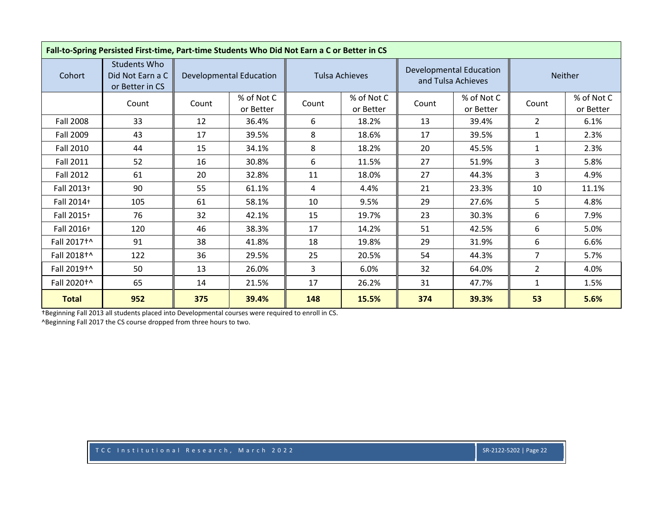| Fall-to-Spring Persisted First-time, Part-time Students Who Did Not Earn a C or Better in CS |                                                            |       |                                |       |                         |       |                                                      |                |                         |  |
|----------------------------------------------------------------------------------------------|------------------------------------------------------------|-------|--------------------------------|-------|-------------------------|-------|------------------------------------------------------|----------------|-------------------------|--|
| Cohort                                                                                       | <b>Students Who</b><br>Did Not Earn a C<br>or Better in CS |       | <b>Developmental Education</b> |       | <b>Tulsa Achieves</b>   |       | <b>Developmental Education</b><br>and Tulsa Achieves |                | <b>Neither</b>          |  |
|                                                                                              | Count                                                      | Count | % of Not C<br>or Better        | Count | % of Not C<br>or Better | Count | % of Not C<br>or Better                              | Count          | % of Not C<br>or Better |  |
| <b>Fall 2008</b>                                                                             | 33                                                         | 12    | 36.4%                          | 6     | 18.2%                   | 13    | 39.4%                                                | $\overline{2}$ | 6.1%                    |  |
| <b>Fall 2009</b>                                                                             | 43                                                         | 17    | 39.5%                          | 8     | 18.6%                   | 17    | 39.5%                                                | 1              | 2.3%                    |  |
| <b>Fall 2010</b>                                                                             | 44                                                         | 15    | 34.1%                          | 8     | 18.2%                   | 20    | 45.5%                                                | $\mathbf{1}$   | 2.3%                    |  |
| <b>Fall 2011</b>                                                                             | 52                                                         | 16    | 30.8%                          | 6     | 11.5%                   | 27    | 51.9%                                                | 3              | 5.8%                    |  |
| Fall 2012                                                                                    | 61                                                         | 20    | 32.8%                          | 11    | 18.0%                   | 27    | 44.3%                                                | 3              | 4.9%                    |  |
| Fall 2013+                                                                                   | 90                                                         | 55    | 61.1%                          | 4     | 4.4%                    | 21    | 23.3%                                                | 10             | 11.1%                   |  |
| Fall 2014+                                                                                   | 105                                                        | 61    | 58.1%                          | 10    | 9.5%                    | 29    | 27.6%                                                | 5              | 4.8%                    |  |
| Fall 2015+                                                                                   | 76                                                         | 32    | 42.1%                          | 15    | 19.7%                   | 23    | 30.3%                                                | 6              | 7.9%                    |  |
| Fall 2016+                                                                                   | 120                                                        | 46    | 38.3%                          | 17    | 14.2%                   | 51    | 42.5%                                                | 6              | 5.0%                    |  |
| Fall 2017 <sup>+</sup>                                                                       | 91                                                         | 38    | 41.8%                          | 18    | 19.8%                   | 29    | 31.9%                                                | 6              | 6.6%                    |  |
| Fall 2018+^                                                                                  | 122                                                        | 36    | 29.5%                          | 25    | 20.5%                   | 54    | 44.3%                                                | $\overline{7}$ | 5.7%                    |  |
| Fall 2019+^                                                                                  | 50                                                         | 13    | 26.0%                          | 3     | 6.0%                    | 32    | 64.0%                                                | $\overline{2}$ | 4.0%                    |  |
| Fall 2020 <sup>+</sup>                                                                       | 65                                                         | 14    | 21.5%                          | 17    | 26.2%                   | 31    | 47.7%                                                | $\mathbf{1}$   | 1.5%                    |  |
| <b>Total</b>                                                                                 | 952                                                        | 375   | 39.4%                          | 148   | 15.5%                   | 374   | 39.3%                                                | 53             | 5.6%                    |  |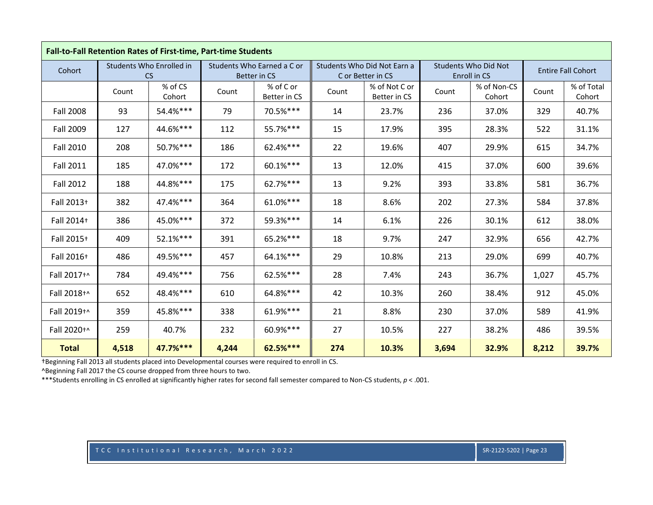|                  | Fall-to-Fall Retention Rates of First-time, Part-time Students |                                       |       |                                                   |       |                                                  |       |                                      |       |                           |
|------------------|----------------------------------------------------------------|---------------------------------------|-------|---------------------------------------------------|-------|--------------------------------------------------|-------|--------------------------------------|-------|---------------------------|
| Cohort           |                                                                | Students Who Enrolled in<br><b>CS</b> |       | Students Who Earned a C or<br><b>Better in CS</b> |       | Students Who Did Not Earn a<br>C or Better in CS |       | Students Who Did Not<br>Enroll in CS |       | <b>Entire Fall Cohort</b> |
|                  | Count                                                          | % of CS<br>Cohort                     | Count | % of C or<br>Better in CS                         | Count | % of Not C or<br>Better in CS                    | Count | % of Non-CS<br>Cohort                | Count | % of Total<br>Cohort      |
| <b>Fall 2008</b> | 93                                                             | 54.4%***                              | 79    | 70.5%***                                          | 14    | 23.7%                                            | 236   | 37.0%                                | 329   | 40.7%                     |
| <b>Fall 2009</b> | 127                                                            | 44.6%***                              | 112   | 55.7%***                                          | 15    | 17.9%                                            | 395   | 28.3%                                | 522   | 31.1%                     |
| <b>Fall 2010</b> | 208                                                            | 50.7%***                              | 186   | 62.4%***                                          | 22    | 19.6%                                            | 407   | 29.9%                                | 615   | 34.7%                     |
| <b>Fall 2011</b> | 185                                                            | 47.0%***                              | 172   | 60.1%***                                          | 13    | 12.0%                                            | 415   | 37.0%                                | 600   | 39.6%                     |
| <b>Fall 2012</b> | 188                                                            | 44.8%***                              | 175   | 62.7%***                                          | 13    | 9.2%                                             | 393   | 33.8%                                | 581   | 36.7%                     |
| Fall 2013+       | 382                                                            | 47.4%***                              | 364   | 61.0%***                                          | 18    | 8.6%                                             | 202   | 27.3%                                | 584   | 37.8%                     |
| Fall 2014+       | 386                                                            | 45.0%***                              | 372   | 59.3%***                                          | 14    | 6.1%                                             | 226   | 30.1%                                | 612   | 38.0%                     |
| Fall 2015+       | 409                                                            | 52.1%***                              | 391   | 65.2%***                                          | 18    | 9.7%                                             | 247   | 32.9%                                | 656   | 42.7%                     |
| Fall 2016+       | 486                                                            | 49.5%***                              | 457   | 64.1%***                                          | 29    | 10.8%                                            | 213   | 29.0%                                | 699   | 40.7%                     |
| Fall 2017+^      | 784                                                            | 49.4%***                              | 756   | 62.5%***                                          | 28    | 7.4%                                             | 243   | 36.7%                                | 1,027 | 45.7%                     |
| Fall 2018+^      | 652                                                            | 48.4%***                              | 610   | 64.8%***                                          | 42    | 10.3%                                            | 260   | 38.4%                                | 912   | 45.0%                     |
| Fall 2019+^      | 359                                                            | 45.8%***                              | 338   | 61.9%***                                          | 21    | 8.8%                                             | 230   | 37.0%                                | 589   | 41.9%                     |
| Fall 2020+^      | 259                                                            | 40.7%                                 | 232   | 60.9%***                                          | 27    | 10.5%                                            | 227   | 38.2%                                | 486   | 39.5%                     |
| <b>Total</b>     | 4,518                                                          | 47.7%***                              | 4,244 | 62.5%***                                          | 274   | 10.3%                                            | 3,694 | 32.9%                                | 8,212 | 39.7%                     |

^Beginning Fall 2017 the CS course dropped from three hours to two.

\*\*\*Students enrolling in CS enrolled at significantly higher rates for second fall semester compared to Non‐CS students, *p* <sup>&</sup>lt; .001.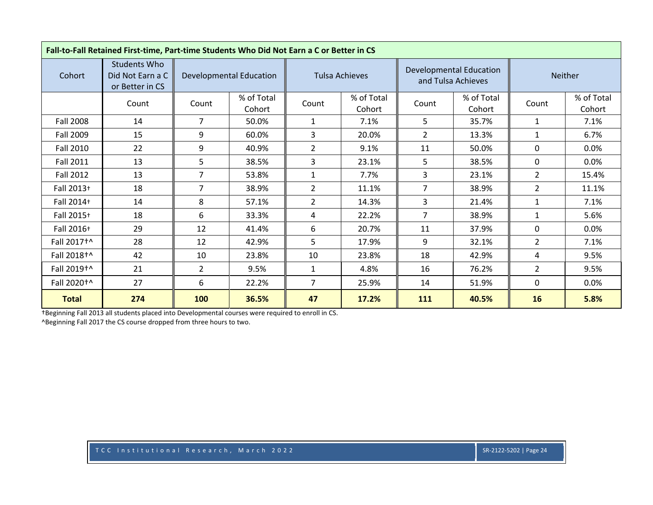| Fall-to-Fall Retained First-time, Part-time Students Who Did Not Earn a C or Better in CS |                                                            |                |                                |                       |                      |                |                                                      |                |                      |  |
|-------------------------------------------------------------------------------------------|------------------------------------------------------------|----------------|--------------------------------|-----------------------|----------------------|----------------|------------------------------------------------------|----------------|----------------------|--|
| Cohort                                                                                    | <b>Students Who</b><br>Did Not Earn a C<br>or Better in CS |                | <b>Developmental Education</b> | <b>Tulsa Achieves</b> |                      |                | <b>Developmental Education</b><br>and Tulsa Achieves |                | Neither              |  |
|                                                                                           | Count                                                      | Count          | % of Total<br>Cohort           | Count                 | % of Total<br>Cohort | Count          | % of Total<br>Cohort                                 | Count          | % of Total<br>Cohort |  |
| Fall 2008                                                                                 | 14                                                         | 7              | 50.0%                          | $\mathbf{1}$          | 7.1%                 | 5              | 35.7%                                                | 1              | 7.1%                 |  |
| Fall 2009                                                                                 | 15                                                         | 9              | 60.0%                          | 3                     | 20.0%                | $\overline{2}$ | 13.3%                                                | $\mathbf{1}$   | 6.7%                 |  |
| <b>Fall 2010</b>                                                                          | 22                                                         | 9              | 40.9%                          | $\overline{2}$        | 9.1%                 | 11             | 50.0%                                                | $\mathbf{0}$   | $0.0\%$              |  |
| <b>Fall 2011</b>                                                                          | 13                                                         | 5              | 38.5%                          | 3                     | 23.1%                | 5              | 38.5%                                                | $\Omega$       | 0.0%                 |  |
| Fall 2012                                                                                 | 13                                                         | $\overline{7}$ | 53.8%                          | $\mathbf{1}$          | 7.7%                 | 3              | 23.1%                                                | $\overline{2}$ | 15.4%                |  |
| Fall 2013+                                                                                | 18                                                         | 7              | 38.9%                          | 2                     | 11.1%                | 7              | 38.9%                                                | $\overline{2}$ | 11.1%                |  |
| Fall 2014+                                                                                | 14                                                         | 8              | 57.1%                          | $\overline{2}$        | 14.3%                | 3              | 21.4%                                                | $\mathbf{1}$   | 7.1%                 |  |
| Fall 2015+                                                                                | 18                                                         | 6              | 33.3%                          | 4                     | 22.2%                | 7              | 38.9%                                                | $\mathbf{1}$   | 5.6%                 |  |
| Fall 2016+                                                                                | 29                                                         | 12             | 41.4%                          | 6                     | 20.7%                | 11             | 37.9%                                                | $\Omega$       | 0.0%                 |  |
| Fall 2017 <sup>+</sup>                                                                    | 28                                                         | 12             | 42.9%                          | 5                     | 17.9%                | 9              | 32.1%                                                | $\overline{2}$ | 7.1%                 |  |
| Fall 2018 <sup>+^</sup>                                                                   | 42                                                         | 10             | 23.8%                          | 10                    | 23.8%                | 18             | 42.9%                                                | 4              | 9.5%                 |  |
| Fall 2019 <sup>+^</sup>                                                                   | 21                                                         | $\overline{2}$ | 9.5%                           | $\mathbf{1}$          | 4.8%                 | 16             | 76.2%                                                | $\overline{2}$ | 9.5%                 |  |
| Fall 2020 <sup>+</sup>                                                                    | 27                                                         | 6              | 22.2%                          | $\overline{7}$        | 25.9%                | 14             | 51.9%                                                | 0              | 0.0%                 |  |
| <b>Total</b>                                                                              | 274                                                        | 100            | 36.5%                          | 47                    | 17.2%                | 111            | 40.5%                                                | 16             | 5.8%                 |  |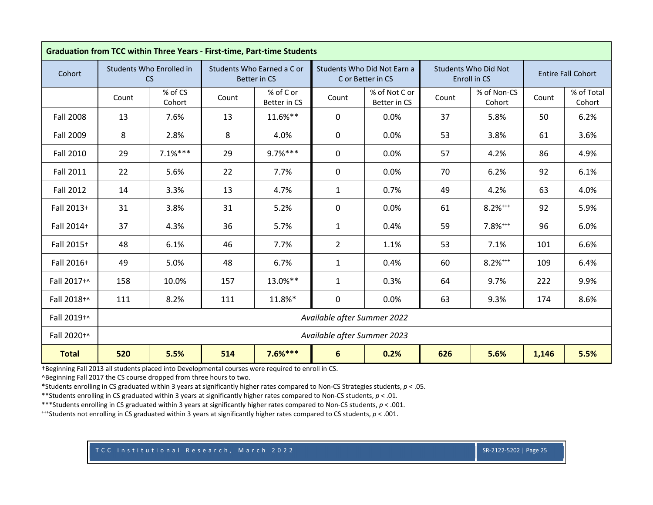|                  | <b>Graduation from TCC within Three Years - First-time, Part-time Students</b> |                                                                                    |       |                                            |                             |                                                  |       |                                      |       |                           |  |  |
|------------------|--------------------------------------------------------------------------------|------------------------------------------------------------------------------------|-------|--------------------------------------------|-----------------------------|--------------------------------------------------|-------|--------------------------------------|-------|---------------------------|--|--|
| Cohort           |                                                                                | Students Who Enrolled in<br><b>CS</b>                                              |       | Students Who Earned a C or<br>Better in CS |                             | Students Who Did Not Earn a<br>C or Better in CS |       | Students Who Did Not<br>Enroll in CS |       | <b>Entire Fall Cohort</b> |  |  |
|                  | Count                                                                          | % of CS<br>Cohort                                                                  | Count | % of C or<br>Better in CS                  | Count                       | % of Not C or<br>Better in CS                    | Count | % of Non-CS<br>Cohort                | Count | % of Total<br>Cohort      |  |  |
| <b>Fall 2008</b> | 13                                                                             | 7.6%                                                                               | 13    | 11.6%**                                    | $\mathbf{0}$                | 0.0%                                             | 37    | 5.8%                                 | 50    | 6.2%                      |  |  |
| <b>Fall 2009</b> | 8                                                                              | 2.8%                                                                               | 8     | 4.0%                                       | $\mathbf 0$                 | 0.0%                                             | 53    | 3.8%                                 | 61    | 3.6%                      |  |  |
| <b>Fall 2010</b> | 29                                                                             | $7.1%***$                                                                          | 29    | $9.7%***$                                  | $\mathbf 0$                 | 0.0%                                             | 57    | 4.2%                                 | 86    | 4.9%                      |  |  |
| <b>Fall 2011</b> | 22                                                                             | 5.6%                                                                               | 22    | 7.7%                                       | 0                           | 0.0%                                             | 70    | 6.2%                                 | 92    | 6.1%                      |  |  |
| <b>Fall 2012</b> | 14                                                                             | 3.3%                                                                               | 13    | 4.7%                                       | $\mathbf{1}$                | 0.7%                                             | 49    | 4.2%                                 | 63    | 4.0%                      |  |  |
| Fall 2013+       | 31                                                                             | 3.8%                                                                               | 31    | 5.2%                                       | $\pmb{0}$                   | 0.0%                                             | 61    | $8.2%^{***}$                         | 92    | 5.9%                      |  |  |
| Fall 2014+       | 37                                                                             | 4.3%                                                                               | 36    | 5.7%                                       | $\mathbf{1}$                | 0.4%                                             | 59    | $7.8%^{***}$                         | 96    | 6.0%                      |  |  |
| Fall 2015+       | 48                                                                             | 6.1%                                                                               | 46    | 7.7%                                       | $\overline{2}$              | 1.1%                                             | 53    | 7.1%                                 | 101   | 6.6%                      |  |  |
| Fall 2016+       | 49                                                                             | 5.0%                                                                               | 48    | 6.7%                                       | $\mathbf{1}$                | 0.4%                                             | 60    | $8.2%***$                            | 109   | 6.4%                      |  |  |
| Fall 2017+^      | 158                                                                            | 10.0%                                                                              | 157   | 13.0%**                                    | $\mathbf{1}$                | 0.3%                                             | 64    | 9.7%                                 | 222   | 9.9%                      |  |  |
| Fall 2018+^      | 111                                                                            | 8.2%                                                                               | 111   | 11.8%*                                     | $\mathbf 0$                 | 0.0%                                             | 63    | 9.3%                                 | 174   | 8.6%                      |  |  |
| Fall 2019+^      |                                                                                | Available after Summer 2022                                                        |       |                                            |                             |                                                  |       |                                      |       |                           |  |  |
| Fall 2020+^      |                                                                                |                                                                                    |       |                                            | Available after Summer 2023 |                                                  |       |                                      |       |                           |  |  |
| <b>Total</b>     | 520                                                                            | $7.6%***$<br>5.5%<br>514<br>$6\phantom{1}$<br>0.2%<br>626<br>5.5%<br>5.6%<br>1,146 |       |                                            |                             |                                                  |       |                                      |       |                           |  |  |

†Beginning Fall 2013 all students placed into Developmental courses were required to enroll in CS. ^Beginning Fall 2017 the CS course dropped from three hours to two.

\*Students enrolling in CS graduated within 3 years at significantly higher rates compared to Non‐CS Strategies students, *p* <sup>&</sup>lt; .05.

\*\*Students enrolling in CS graduated within 3 years at significantly higher rates compared to Non‐CS students, *p* <sup>&</sup>lt; .01.

\*\*\*Students enrolling in CS graduated within 3 years at significantly higher rates compared to Non‐CS students, *p* <sup>&</sup>lt; .001.

+++Students not enrolling in CS graduated within 3 years at significantly higher rates compared to CS students, *p* <sup>&</sup>lt; .001.

TCC Institutional Research, March 2022 SR‐2122‐5202 | Page 25 SR‐2122‐5202 | Page 25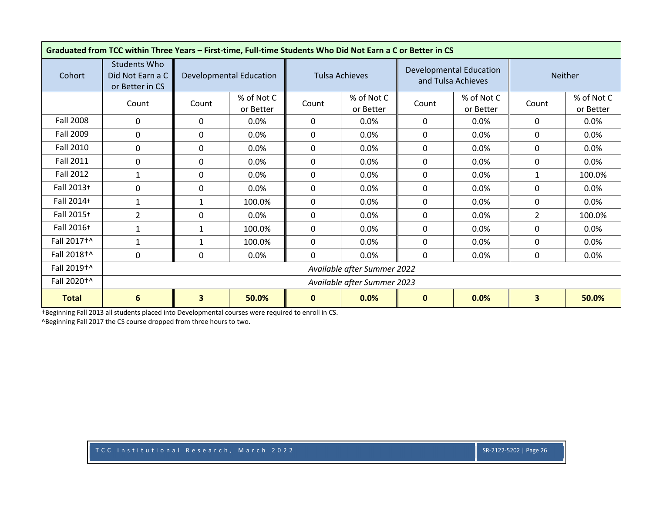|                         | Graduated from TCC within Three Years - First-time, Full-time Students Who Did Not Earn a C or Better in CS |          |                                |                       |                             |             |                                                      |                         |                         |  |  |  |
|-------------------------|-------------------------------------------------------------------------------------------------------------|----------|--------------------------------|-----------------------|-----------------------------|-------------|------------------------------------------------------|-------------------------|-------------------------|--|--|--|
| Cohort                  | <b>Students Who</b><br>Did Not Earn a C<br>or Better in CS                                                  |          | <b>Developmental Education</b> | <b>Tulsa Achieves</b> |                             |             | <b>Developmental Education</b><br>and Tulsa Achieves |                         | Neither                 |  |  |  |
|                         | Count                                                                                                       | Count    | % of Not C<br>or Better        | Count                 | % of Not C<br>or Better     | Count       | % of Not C<br>or Better                              | Count                   | % of Not C<br>or Better |  |  |  |
| <b>Fall 2008</b>        | 0                                                                                                           | 0        | 0.0%                           | 0                     | 0.0%                        | 0           | 0.0%                                                 | 0                       | 0.0%                    |  |  |  |
| Fall 2009               | $\mathbf 0$                                                                                                 | 0        | 0.0%                           | 0                     | 0.0%                        | $\Omega$    | 0.0%                                                 | 0                       | 0.0%                    |  |  |  |
| Fall 2010               | $\mathbf 0$                                                                                                 | 0        | 0.0%                           | 0                     | 0.0%                        | $\Omega$    | 0.0%                                                 | 0                       | $0.0\%$                 |  |  |  |
| <b>Fall 2011</b>        | 0                                                                                                           | 0        | 0.0%                           | $\mathbf{0}$          | 0.0%                        | 0           | 0.0%                                                 | 0                       | $0.0\%$                 |  |  |  |
| <b>Fall 2012</b>        | $\mathbf{1}$                                                                                                | 0        | 0.0%                           | 0                     | 0.0%                        | 0           | 0.0%                                                 | $\mathbf{1}$            | 100.0%                  |  |  |  |
| Fall 2013+              | $\mathbf 0$                                                                                                 | $\Omega$ | 0.0%                           | $\mathbf{0}$          | 0.0%                        | $\Omega$    | 0.0%                                                 | $\mathbf 0$             | 0.0%                    |  |  |  |
| Fall 2014+              | $\mathbf{1}$                                                                                                | 1        | 100.0%                         | $\mathbf{0}$          | 0.0%                        | $\Omega$    | 0.0%                                                 | 0                       | 0.0%                    |  |  |  |
| Fall 2015+              | $\overline{2}$                                                                                              | $\Omega$ | 0.0%                           | $\mathbf{0}$          | 0.0%                        | $\Omega$    | 0.0%                                                 | $\overline{2}$          | 100.0%                  |  |  |  |
| Fall 2016+              | 1                                                                                                           | 1        | 100.0%                         | $\mathbf{0}$          | 0.0%                        | 0           | $0.0\%$                                              | 0                       | $0.0\%$                 |  |  |  |
| Fall 2017 <sup>+^</sup> | 1                                                                                                           | 1        | 100.0%                         | $\mathbf{0}$          | 0.0%                        | $\Omega$    | 0.0%                                                 | 0                       | 0.0%                    |  |  |  |
| Fall 2018+^             | $\mathbf 0$                                                                                                 | 0        | 0.0%                           | $\mathbf{0}$          | 0.0%                        | 0           | 0.0%                                                 | 0                       | 0.0%                    |  |  |  |
| Fall 2019 <sup>+^</sup> |                                                                                                             |          | Available after Summer 2022    |                       |                             |             |                                                      |                         |                         |  |  |  |
| Fall 2020 <sup>+</sup>  |                                                                                                             |          |                                |                       | Available after Summer 2023 |             |                                                      |                         |                         |  |  |  |
| <b>Total</b>            | $6\phantom{1}6$                                                                                             | 3        | 50.0%                          | $\mathbf{0}$          | 0.0%                        | $\mathbf 0$ | 0.0%                                                 | $\overline{\mathbf{3}}$ | 50.0%                   |  |  |  |

†Beginning Fall 2013 all students placed into Developmental courses were required to enroll in CS. ^Beginning Fall 2017 the CS course dropped from three hours to two.

TCC Institutional Research, March 2022 SR‐2122‐5202 | Page 26 SR‐2122‐5202 | Page 26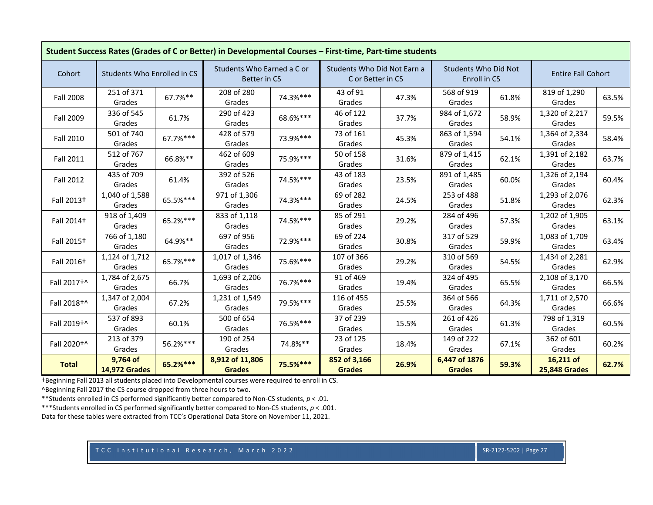| Student Success Rates (Grades of C or Better) in Developmental Courses - First-time, Part-time students |                                  |          |                                                   |          |                                                  |       |                                             |       |                                   |       |  |
|---------------------------------------------------------------------------------------------------------|----------------------------------|----------|---------------------------------------------------|----------|--------------------------------------------------|-------|---------------------------------------------|-------|-----------------------------------|-------|--|
| Cohort                                                                                                  | Students Who Enrolled in CS      |          | Students Who Earned a C or<br><b>Better in CS</b> |          | Students Who Did Not Earn a<br>C or Better in CS |       | <b>Students Who Did Not</b><br>Enroll in CS |       | <b>Entire Fall Cohort</b>         |       |  |
| <b>Fall 2008</b>                                                                                        | 251 of 371<br>Grades             | 67.7%**  | 208 of 280<br>Grades                              | 74.3%*** | 43 of 91<br>Grades                               | 47.3% | 568 of 919<br>Grades                        | 61.8% | 819 of 1,290<br>Grades            | 63.5% |  |
| Fall 2009                                                                                               | 336 of 545<br>Grades             | 61.7%    | 290 of 423<br>Grades                              | 68.6%*** | 46 of 122<br>Grades                              | 37.7% | 984 of 1,672<br>Grades                      | 58.9% | 1,320 of 2,217<br>Grades          | 59.5% |  |
| <b>Fall 2010</b>                                                                                        | 501 of 740<br>Grades             | 67.7%*** | 428 of 579<br>Grades                              | 73.9%*** | 73 of 161<br>Grades                              | 45.3% | 863 of 1,594<br>Grades                      | 54.1% | 1,364 of 2,334<br>Grades          | 58.4% |  |
| <b>Fall 2011</b>                                                                                        | 512 of 767<br>Grades             | 66.8%**  | 462 of 609<br>Grades                              | 75.9%*** | 50 of 158<br>Grades                              | 31.6% | 879 of 1,415<br>Grades                      | 62.1% | 1,391 of 2,182<br>Grades          | 63.7% |  |
| Fall 2012                                                                                               | 435 of 709<br>Grades             | 61.4%    | 392 of 526<br>Grades                              | 74.5%*** | 43 of 183<br>Grades                              | 23.5% | 891 of 1,485<br>Grades                      | 60.0% | 1,326 of 2,194<br>Grades          | 60.4% |  |
| Fall 2013 <sup>+</sup>                                                                                  | 1,040 of 1,588<br>Grades         | 65.5%*** | 971 of 1,306<br>Grades                            | 74.3%*** | 69 of 282<br>Grades                              | 24.5% | 253 of 488<br>Grades                        | 51.8% | 1,293 of 2,076<br>Grades          | 62.3% |  |
| Fall 2014 <sup>+</sup>                                                                                  | 918 of 1,409<br>Grades           | 65.2%*** | 833 of 1,118<br>Grades                            | 74.5%*** | 85 of 291<br>Grades                              | 29.2% | 284 of 496<br>Grades                        | 57.3% | 1,202 of 1,905<br>Grades          | 63.1% |  |
| Fall 2015 <sup>+</sup>                                                                                  | 766 of 1,180<br>Grades           | 64.9%**  | 697 of 956<br>Grades                              | 72.9%*** | 69 of 224<br>Grades                              | 30.8% | 317 of 529<br>Grades                        | 59.9% | 1,083 of 1,709<br>Grades          | 63.4% |  |
| Fall 2016 <sup>+</sup>                                                                                  | 1,124 of 1,712<br>Grades         | 65.7%*** | 1,017 of 1,346<br>Grades                          | 75.6%*** | 107 of 366<br>Grades                             | 29.2% | 310 of 569<br>Grades                        | 54.5% | 1,434 of 2,281<br>Grades          | 62.9% |  |
| Fall 2017+^                                                                                             | 1,784 of 2,675<br>Grades         | 66.7%    | 1,693 of 2,206<br>Grades                          | 76.7%*** | 91 of 469<br>Grades                              | 19.4% | 324 of 495<br>Grades                        | 65.5% | 2,108 of 3,170<br>Grades          | 66.5% |  |
| Fall 2018+^                                                                                             | 1,347 of 2,004<br>Grades         | 67.2%    | 1,231 of 1,549<br>Grades                          | 79.5%*** | 116 of 455<br>Grades                             | 25.5% | 364 of 566<br>Grades                        | 64.3% | 1,711 of 2,570<br>Grades          | 66.6% |  |
| Fall 2019+^                                                                                             | 537 of 893<br>Grades             | 60.1%    | 500 of 654<br>Grades                              | 76.5%*** | 37 of 239<br>Grades                              | 15.5% | 261 of 426<br>Grades                        | 61.3% | 798 of 1,319<br>Grades            | 60.5% |  |
| Fall 2020 <sup>+</sup>                                                                                  | 213 of 379<br>Grades             | 56.2%*** | 190 of 254<br>Grades                              | 74.8%**  | 23 of 125<br>Grades                              | 18.4% | 149 of 222<br>Grades                        | 67.1% | 362 of 601<br>Grades              | 60.2% |  |
| <b>Total</b>                                                                                            | 9,764 of<br><b>14,972 Grades</b> | 65.2%*** | 8,912 of 11,806<br><b>Grades</b>                  | 75.5%*** | 852 of 3,166<br><b>Grades</b>                    | 26.9% | 6,447 of 1876<br><b>Grades</b>              | 59.3% | 16,211 of<br><b>25,848 Grades</b> | 62.7% |  |

^Beginning Fall 2017 the CS course dropped from three hours to two.

\*\*Students enrolled in CS performed significantly better compared to Non‐CS students, *p* <sup>&</sup>lt; .01.

\*\*\*Students enrolled in CS performed significantly better compared to Non‐CS students, *p* <sup>&</sup>lt; .001.

Data for these tables were extracted from TCC's Operational Data Store on November 11, 2021.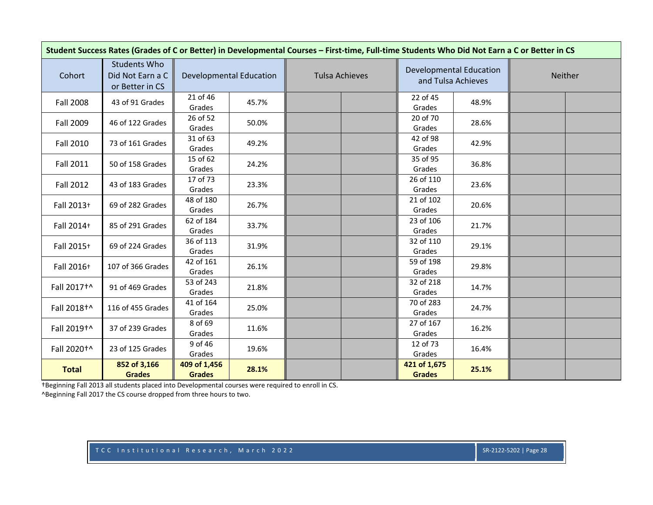| Student Success Rates (Grades of C or Better) in Developmental Courses - First-time, Full-time Students Who Did Not Earn a C or Better in CS |                                                            |                               |                                |                       |                               |                                                      |         |  |  |  |  |
|----------------------------------------------------------------------------------------------------------------------------------------------|------------------------------------------------------------|-------------------------------|--------------------------------|-----------------------|-------------------------------|------------------------------------------------------|---------|--|--|--|--|
| Cohort                                                                                                                                       | <b>Students Who</b><br>Did Not Earn a C<br>or Better in CS |                               | <b>Developmental Education</b> | <b>Tulsa Achieves</b> |                               | <b>Developmental Education</b><br>and Tulsa Achieves | Neither |  |  |  |  |
| <b>Fall 2008</b>                                                                                                                             | 43 of 91 Grades                                            | 21 of 46<br>Grades            | 45.7%                          |                       | 22 of 45<br>Grades            | 48.9%                                                |         |  |  |  |  |
| Fall 2009                                                                                                                                    | 46 of 122 Grades                                           | 26 of 52<br>Grades            | 50.0%                          |                       | 20 of 70<br>Grades            | 28.6%                                                |         |  |  |  |  |
| <b>Fall 2010</b>                                                                                                                             | 73 of 161 Grades                                           | 31 of 63<br>Grades            | 49.2%                          |                       | 42 of 98<br>Grades            | 42.9%                                                |         |  |  |  |  |
| <b>Fall 2011</b>                                                                                                                             | 50 of 158 Grades                                           | 15 of 62<br>Grades            | 24.2%                          |                       | 35 of 95<br>Grades            | 36.8%                                                |         |  |  |  |  |
| <b>Fall 2012</b>                                                                                                                             | 43 of 183 Grades                                           | 17 of 73<br>Grades            | 23.3%                          |                       | 26 of 110<br>Grades           | 23.6%                                                |         |  |  |  |  |
| Fall 2013+                                                                                                                                   | 69 of 282 Grades                                           | 48 of 180<br>Grades           | 26.7%                          |                       | 21 of 102<br>Grades           | 20.6%                                                |         |  |  |  |  |
| Fall 2014+                                                                                                                                   | 85 of 291 Grades                                           | 62 of 184<br>Grades           | 33.7%                          |                       | 23 of 106<br>Grades           | 21.7%                                                |         |  |  |  |  |
| Fall 2015+                                                                                                                                   | 69 of 224 Grades                                           | 36 of 113<br>Grades           | 31.9%                          |                       | 32 of 110<br>Grades           | 29.1%                                                |         |  |  |  |  |
| Fall 2016+                                                                                                                                   | 107 of 366 Grades                                          | 42 of 161<br>Grades           | 26.1%                          |                       | 59 of 198<br>Grades           | 29.8%                                                |         |  |  |  |  |
| Fall 2017+^                                                                                                                                  | 91 of 469 Grades                                           | 53 of 243<br>Grades           | 21.8%                          |                       | 32 of 218<br>Grades           | 14.7%                                                |         |  |  |  |  |
| Fall 2018+^                                                                                                                                  | 116 of 455 Grades                                          | 41 of 164<br>Grades           | 25.0%                          |                       | 70 of 283<br>Grades           | 24.7%                                                |         |  |  |  |  |
| Fall 2019+^                                                                                                                                  | 37 of 239 Grades                                           | 8 of 69<br>Grades             | 11.6%                          |                       | 27 of 167<br>Grades           | 16.2%                                                |         |  |  |  |  |
| Fall 2020 <sup>+^</sup>                                                                                                                      | 23 of 125 Grades                                           | 9 of 46<br>Grades             | 19.6%                          |                       | 12 of 73<br>Grades            | 16.4%                                                |         |  |  |  |  |
| <b>Total</b>                                                                                                                                 | 852 of 3,166<br><b>Grades</b>                              | 409 of 1,456<br><b>Grades</b> | 28.1%                          |                       | 421 of 1,675<br><b>Grades</b> | 25.1%                                                |         |  |  |  |  |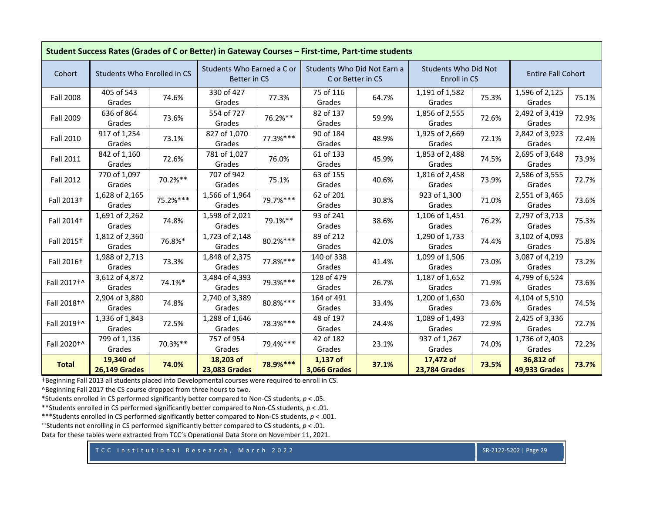| Student Success Rates (Grades of C or Better) in Gateway Courses - First-time, Part-time students |                                   |          |                                            |          |                                                  |       |                                             |       |                                   |       |  |
|---------------------------------------------------------------------------------------------------|-----------------------------------|----------|--------------------------------------------|----------|--------------------------------------------------|-------|---------------------------------------------|-------|-----------------------------------|-------|--|
| Cohort                                                                                            | Students Who Enrolled in CS       |          | Students Who Earned a C or<br>Better in CS |          | Students Who Did Not Earn a<br>C or Better in CS |       | <b>Students Who Did Not</b><br>Enroll in CS |       | <b>Entire Fall Cohort</b>         |       |  |
| <b>Fall 2008</b>                                                                                  | 405 of 543<br>Grades              | 74.6%    | 330 of 427<br>Grades                       | 77.3%    | 75 of 116<br>Grades                              | 64.7% | 1,191 of 1,582<br>Grades                    | 75.3% | 1,596 of 2,125<br>Grades          | 75.1% |  |
| Fall 2009                                                                                         | 636 of 864<br>Grades              | 73.6%    | 554 of 727<br>Grades                       | 76.2%**  | 82 of 137<br>Grades                              | 59.9% | 1,856 of 2,555<br>Grades                    | 72.6% | 2,492 of 3,419<br>Grades          | 72.9% |  |
| Fall 2010                                                                                         | 917 of 1,254<br>Grades            | 73.1%    | 827 of 1,070<br>Grades                     | 77.3%*** | 90 of 184<br>Grades                              | 48.9% | 1,925 of 2,669<br>Grades                    | 72.1% | 2,842 of 3,923<br>Grades          | 72.4% |  |
| <b>Fall 2011</b>                                                                                  | 842 of 1,160<br>Grades            | 72.6%    | 781 of 1,027<br>Grades                     | 76.0%    | 61 of 133<br>Grades                              | 45.9% | 1,853 of 2,488<br>Grades                    | 74.5% | 2,695 of 3,648<br>Grades          | 73.9% |  |
| <b>Fall 2012</b>                                                                                  | 770 of 1,097<br>Grades            | 70.2%**  | 707 of 942<br>Grades                       | 75.1%    | 63 of 155<br>Grades                              | 40.6% | 1,816 of 2,458<br>Grades                    | 73.9% | 2,586 of 3,555<br>Grades          | 72.7% |  |
| Fall 2013+                                                                                        | 1,628 of 2,165<br>Grades          | 75.2%*** | 1,566 of 1,964<br>Grades                   | 79.7%*** | 62 of 201<br>Grades                              | 30.8% | 923 of 1,300<br>Grades                      | 71.0% | 2,551 of 3,465<br>Grades          | 73.6% |  |
| Fall 2014+                                                                                        | 1,691 of 2,262<br>Grades          | 74.8%    | 1,598 of 2,021<br>Grades                   | 79.1%**  | 93 of 241<br>Grades                              | 38.6% | 1,106 of 1,451<br>Grades                    | 76.2% | 2,797 of 3,713<br>Grades          | 75.3% |  |
| Fall 2015 <sup>+</sup>                                                                            | 1,812 of 2,360<br>Grades          | 76.8%*   | 1,723 of 2,148<br>Grades                   | 80.2%*** | 89 of 212<br>Grades                              | 42.0% | 1,290 of 1,733<br>Grades                    | 74.4% | 3,102 of 4,093<br>Grades          | 75.8% |  |
| Fall 2016 <sup>+</sup>                                                                            | 1,988 of 2,713<br>Grades          | 73.3%    | 1,848 of 2,375<br>Grades                   | 77.8%*** | 140 of 338<br>Grades                             | 41.4% | 1,099 of 1,506<br>Grades                    | 73.0% | 3,087 of 4,219<br>Grades          | 73.2% |  |
| Fall 2017+^                                                                                       | 3,612 of 4,872<br>Grades          | 74.1%*   | 3,484 of 4,393<br>Grades                   | 79.3%*** | 128 of 479<br>Grades                             | 26.7% | 1,187 of 1,652<br>Grades                    | 71.9% | 4,799 of 6,524<br>Grades          | 73.6% |  |
| Fall 2018+^                                                                                       | 2,904 of 3,880<br>Grades          | 74.8%    | 2,740 of 3,389<br>Grades                   | 80.8%*** | 164 of 491<br>Grades                             | 33.4% | 1,200 of 1,630<br>Grades                    | 73.6% | 4,104 of 5,510<br>Grades          | 74.5% |  |
| Fall 2019+^                                                                                       | 1,336 of 1,843<br>Grades          | 72.5%    | 1,288 of 1,646<br>Grades                   | 78.3%*** | 48 of 197<br>Grades                              | 24.4% | 1,089 of 1,493<br>Grades                    | 72.9% | 2,425 of 3,336<br>Grades          | 72.7% |  |
| Fall 2020+^                                                                                       | 799 of 1,136<br>Grades            | 70.3%**  | 757 of 954<br>Grades                       | 79.4%*** | 42 of 182<br>Grades                              | 23.1% | 937 of 1,267<br>Grades                      | 74.0% | 1,736 of 2,403<br>Grades          | 72.2% |  |
| <b>Total</b>                                                                                      | 19,340 of<br><b>26,149 Grades</b> | 74.0%    | 18,203 of<br><b>23,083 Grades</b>          | 78.9%*** | 1,137 of<br><b>3,066 Grades</b>                  | 37.1% | 17,472 of<br><b>23,784 Grades</b>           | 73.5% | 36,812 of<br><b>49,933 Grades</b> | 73.7% |  |

^Beginning Fall 2017 the CS course dropped from three hours to two.

\*Students enrolled in CS performed significantly better compared to Non‐CS students, *p* <sup>&</sup>lt; .05.

\*\*Students enrolled in CS performed significantly better compared to Non‐CS students, *p* <sup>&</sup>lt; .01.

\*\*\*Students enrolled in CS performed significantly better compared to Non‐CS students, *p* <sup>&</sup>lt; .001.

++Students not enrolling in CS performed significantly better compared to CS students, *p* <sup>&</sup>lt; .01.

Data for these tables were extracted from TCC's Operational Data Store on November 11, 2021.

TCC Institutional Research, March 2022 SR‐2122‐5202 | Page 29 SR‐2122‐5202 | Page 29